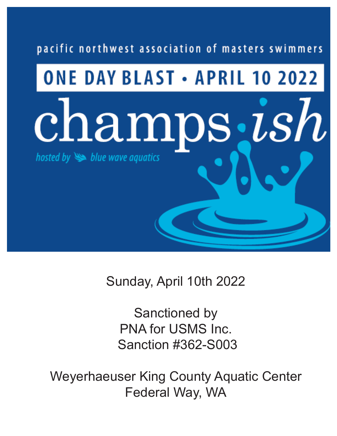# pacific northwest association of masters swimmers

# **ONE DAY BLAST • APRIL 10 2022** champs, ish hosted by  $\blacktriangleright$  blue wave aquatics

Sunday, April 10th 2022

Sanctioned by PNA for USMS Inc. Sanction #362-S003

Weyerhaeuser King County Aquatic Center Federal Way, WA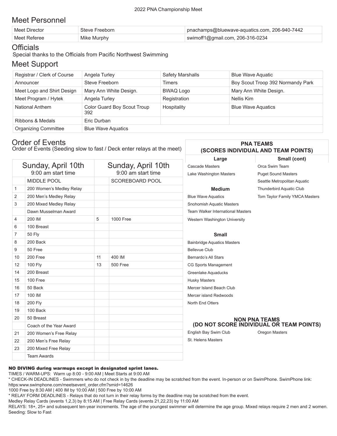# Meet Personnel

| Meet Director | Steve Freeborn | l pnachamps@bluewave-aquatics.com, 206-940-7442 |
|---------------|----------------|-------------------------------------------------|
| Meet Referee  | Mike Murphy    | swimoff1@gmail.com, 206-316-0234                |

### **Officials**

Special thanks to the Officials from Pacific Northwest Swimming

## Meet Support

| Registrar / Clerk of Course | Angela Turley                             | <b>Safety Marshalls</b> | <b>Blue Wave Aquatic</b>          |
|-----------------------------|-------------------------------------------|-------------------------|-----------------------------------|
| Announcer                   | Steve Freeborn                            | Timers                  | Boy Scout Troop 392 Normandy Park |
| Meet Logo and Shirt Design  | Mary Ann White Design.                    | <b>BWAQ Logo</b>        | Mary Ann White Design.            |
| Meet Program / Hytek        | Angela Turley                             | Registration            | Nellis Kim                        |
| National Anthem             | <b>Color Guard Boy Scout Troup</b><br>392 | Hospitality             | <b>Blue Wave Aquatics</b>         |
| Ribbons & Medals            | Eric Durban                               |                         |                                   |
| <b>Organizing Committee</b> | <b>Blue Wave Aquatics</b>                 |                         |                                   |

# Order of Events

Order of Events (Seeding slow to fast / Deck enter relays at the meet)

### **PNA TEAMS (SCORES INDIVIDUAL AND TEAM POINTS)**

**Large Small (cont)**

|    | Sunday, April 10th<br>9:00 am start time |    | Sunday, April 10th<br>9:00 am start time | <b>Cascade Masters</b><br>Lake Washington Masters | Orca Swim Team<br><b>Puget Sound Masters</b> |
|----|------------------------------------------|----|------------------------------------------|---------------------------------------------------|----------------------------------------------|
|    | <b>MIDDLE POOL</b>                       |    | SCOREBOARD POOL                          |                                                   | Seattle Metropolitan Aquatic                 |
| 1  | 200 Women's Medley Relay                 |    |                                          | <b>Medium</b>                                     | Thunderbird Aquatic Club                     |
| 2  | 200 Men's Medley Relay                   |    |                                          | <b>Blue Wave Aquatics</b>                         | Tom Taylor Family YMCA Masters               |
| 3  | 200 Mixed Medley Relay                   |    |                                          | Snohomish Aquatic Masters                         |                                              |
|    | Dawn Musselman Award                     |    |                                          | <b>Team Walker International Masters</b>          |                                              |
| 4  | 200 IM                                   | 5  | <b>1000 Free</b>                         | Western Washington University                     |                                              |
| 6  | 100 Breast                               |    |                                          |                                                   |                                              |
| 7  | <b>50 Fly</b>                            |    |                                          | <b>Small</b>                                      |                                              |
| 8  | 200 Back                                 |    |                                          | <b>Bainbridge Aquatics Masters</b>                |                                              |
| 9  | 50 Free                                  |    |                                          | <b>Bellevue Club</b>                              |                                              |
| 10 | 200 Free                                 | 11 | 400 IM                                   | Bernardo's All Stars                              |                                              |
| 12 | 100 Fly                                  | 13 | <b>500 Free</b>                          | CG Sports Management                              |                                              |
| 14 | 200 Breast                               |    |                                          | Greenlake Aquaducks                               |                                              |
| 15 | 100 Free                                 |    |                                          | <b>Husky Masters</b>                              |                                              |
| 16 | 50 Back                                  |    |                                          | Mercer Island Beach Club                          |                                              |
| 17 | 100 IM                                   |    |                                          | Mercer island Redwoods                            |                                              |
| 18 | 200 Fly                                  |    |                                          | North End Otters                                  |                                              |
| 19 | 100 Back                                 |    |                                          |                                                   |                                              |
| 20 | 50 Breast                                |    |                                          |                                                   | <b>NON PNA TEAMS</b>                         |
|    | Coach of the Year Award                  |    |                                          |                                                   | (DO NOT SCORE INDIVIDUAL OR TEAM POINTS)     |
| 21 | 200 Women's Free Relay                   |    |                                          | English Bay Swim Club                             | Oregon Masters                               |
| 22 | 200 Men's Free Relay                     |    |                                          | St. Helens Masters                                |                                              |
| 23 | 200 Mixed Free Relay                     |    |                                          |                                                   |                                              |
|    | <b>Team Awards</b>                       |    |                                          |                                                   |                                              |
|    |                                          |    |                                          |                                                   |                                              |

### NO DIVING during warmups except in designated sprint lanes.

TIMES / WARM-UPS: Warm up 8:00 - 9:00 AM | Meet Starts at 9:00 AM

\* CHECK-IN DEADLINES - Swimmers who do not check in by the deadline may be scratched from the event. In-person or on SwimPhone. SwimPhone link: https:www.swimphone.com/meetsevent\_order.cfm?smid=14626

1000 Free by 8:30 AM | 400 IM by 10:00 AM | 500 Free by 10:00 AM

\* RELAY FORM DEADLINES - Relays that do not turn in their relay forms by the deadline may be scratched from the event.

Medley Relay Cards (events 1,2,3) by 8:15 AM | Free Relay Cards (events 21,22,23) by 11:00 AM

RELAYS: 18+, 25+ and subsequent ten-year increments. The age of the youngest swimmer will determine the age group. Mixed relays require 2 men and 2 women. Seeding: Slow to Fast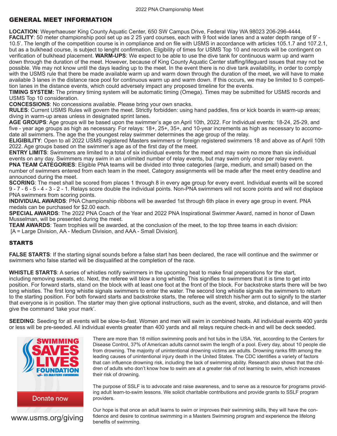### GENERAL MEET INFORMATION

**LOCATION**: Weyerhaeuser King County Aquatic Center, 650 SW Campus Drive, Federal Way WA 98023 206-296-4444. **FACILITY**: 50 meter championship pool set up as 2 25 yard courses, each with 9 foot wide lanes and a water depth range of 9' - 10.5'. The length of the competition course is in compliance and on file with USMS in accordance with articles 105.1.7 and 107.2.1, but as a bulkhead course, is subject to lenght confirmation. Eligibility of times for USMS Top 10 and records will be contingent on verification of bulkhead placement. **WARM-UPS**: We expect to be able to use the dive tank for continuous warm up and warm down through the duration of the meet. However, because of King County Aquatic Center staffing/lifeguard issues that may not be possible. We may not know until the days leading up to the meet. In the event there is no dive tank availability, in order to comply with the USMS rule that there be made available warm up and warm down through the duration of the meet, we will have to make available 3 lanes in the distance race pool for continuous warm up and warm down. If this occurs, we may be limited to 5 competition lanes in the distance events, which could adversely impact any proposed timeline for the events.

**TIMING SYSTEM:** The primary timing system will be automatic timing (Omega). Times may be submitted for USMS records and USMS Top 10 consideration.

**CONCESSIONS**: No concessions available. Please bring your own snacks.

**RULES**: Current USMS Rules will govern the meet. Strictly forbidden: using hand paddles, fins or kick boards in warm-up areas; diving in warm-up areas unless in designated sprint lanes.

**AGE GROUPS**: Age groups will be based upon the swimmer's age on April 10th, 2022. For Individual events: 18-24, 25-29, and five - year age groups as high as necessary. For relays: 18+, 25+, 35+, and 10-year increments as high as necessary to accomodate all swimmers. The age the the youngest relay swimmer determines the age group of the relay.

**ELIGIBILITY**: Open to all 2022 USMS registered Masters swimmers or foreign registered swimmers 18 and above as of April 10th 2022. Age groups based on the swimmer's age as of the first day of the meet.

**ENTRY LIMITS**: Swimmers are limited to a total of six individual events for the meet and may swim no more than six individual events on any day. Swimmers may swim in an unlimited number of relay events, but may swim only once per relay event.

**PNA TEAM CATEGORIES**: Eligible PNA teams will be divided into three categories (large, medium, and small) based on the number of swimmers entered from each team in the meet. Category assignments will be made after the meet entry deadline and announced during the meet.

**SCORING**: The meet shall be scored from places 1 through 8 in every age group for every event. Individual events will be scored 9 - 7 - 6 - 5 - 4 - 3 - 2 - 1. Relays score double the individual points. Non-PNA swimmers will not score points and will not displace PNA swimmers from scoring points.

**INDIVIDUAL AWARDS**: PNA Championship ribbons will be awarded 1st through 6th place in every age group in event. PNA medals can be purchased for \$2.00 each.

**SPECIAL AWARDS**: The 2022 PNA Coach of the Year and 2022 PNA Inspirational Swimmer Award, named in honor of Dawn Musselman, will be presented during the meet.

**TEAM AWARDS**: Team trophies will be awarded, at the conclusion of the meet, to the top three teams in each division: [A = Large Division, AA - Medium Division, and AAA - Small Division].

### STARTS

**FALSE STARTS**: If the starting signal sounds before a false start has been declared, the race will continue and the swimmer or swimmers who false started will be disqualified at the completion of the race.

**WHISTLE STARTS**: A series of whistles notify swimmers in the upcoming heat to make final preperations for the start, including removing sweats, etc. Next, the referee will blow a long whistle. This signifies to swimmers that it is time to get into position. For forward starts, stand on the block with at least one foot at the front of the block. For backstroke starts there will be two long whistles. The first long whistle signals swimmers to enter the water. The second long whistle signals the swimmers to return to the starting position. For both forward starts and backstroke starts, the referee will stretch his/her arm out to signify to the starter that everyone is in position. The starter may then give optional instructions, such as the event, stroke, and distance, and will then give the command 'take your mark'.

**SEEDING**: Seeding for all events will be slow-to-fast. Women and men will swim in combined heats. All individual events 400 yards or less will be pre-seeded. All individual events greater than 400 yards and all relays require check-in and will be deck seeded.



There are more than 18 million swimming pools and hot tubs in the USA. Yet, according to the Centers for Disease Control, 37% of American adults cannot swim the length of a pool. Every day, about 10 people die from drowning. The majority of unintentional drowning victims are adults. Drowning ranks fifth among the leading causes of unintentional injury death in the United States. The CDC identifies a variety of factors that can influence drowning risk, including the lack of swimming ability. Research also shows that the children of adults who don't know how to swim are at a greater risk of not learning to swim, which increases their risk of drowning.

The purpose of SSLF is to advocate and raise awareness, and to serve as a resource for programs providing adult learn-to-swim lessons. We solicit charitable contributions and provide grants to SSLF program providers.

Our hope is that once an adult learns to swim or improves their swimming skills, they will have the confidence and desire to continue swimming in a Masters Swimming program and experience the lifelong

**www.usms.org/giving** fidence and desire to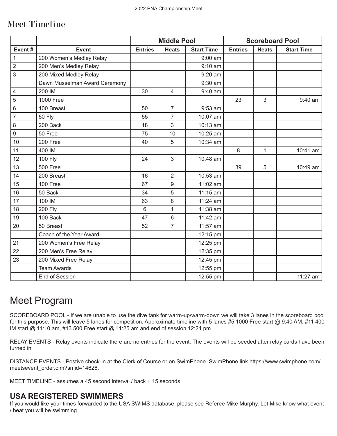# Meet Timeline

|                  |                               | <b>Middle Pool</b> |                |                   | <b>Scoreboard Pool</b> |              |                   |
|------------------|-------------------------------|--------------------|----------------|-------------------|------------------------|--------------|-------------------|
| Event#           | <b>Event</b>                  | <b>Entries</b>     | <b>Heats</b>   | <b>Start Time</b> | <b>Entries</b>         | <b>Heats</b> | <b>Start Time</b> |
| $\mathbf{1}$     | 200 Women's Medley Relay      |                    |                | $9:00$ am         |                        |              |                   |
| $\overline{2}$   | 200 Men's Medley Relay        |                    |                | $9:10$ am         |                        |              |                   |
| $\mathfrak{S}$   | 200 Mixed Medley Relay        |                    |                | $9:20$ am         |                        |              |                   |
|                  | Dawn Musselman Award Ceremony |                    |                | 9:30 am           |                        |              |                   |
| $\overline{4}$   | 200 IM                        | 30                 | $\overline{4}$ | 9:40 am           |                        |              |                   |
| 5                | 1000 Free                     |                    |                |                   | 23                     | 3            | 9:40 am           |
| $\overline{6}$   | 100 Breast                    | 50                 | $\overline{7}$ | 9:53 am           |                        |              |                   |
| $\overline{7}$   | <b>50 Fly</b>                 | 55                 | $\overline{7}$ | 10:07 am          |                        |              |                   |
| 8                | 200 Back                      | 18                 | 3              | 10:13 am          |                        |              |                   |
| $\boldsymbol{9}$ | 50 Free                       | 75                 | 10             | 10:25 am          |                        |              |                   |
| 10               | 200 Free                      | 40                 | 5              | 10:34 am          |                        |              |                   |
| 11               | 400 IM                        |                    |                |                   | 8                      | $\mathbf{1}$ | 10:41 am          |
| 12               | 100 Fly                       | 24                 | 3              | 10:48 am          |                        |              |                   |
| 13               | 500 Free                      |                    |                |                   | 39                     | 5            | 10:49 am          |
| 14               | 200 Breast                    | 16                 | $\overline{2}$ | 10:53 am          |                        |              |                   |
| 15               | 100 Free                      | 67                 | $9\,$          | 11:02 am          |                        |              |                   |
| 16               | 50 Back                       | 34                 | 5              | 11:15 am          |                        |              |                   |
| 17               | 100 IM                        | 63                 | 8              | 11:24 am          |                        |              |                   |
| 18               | <b>200 Fly</b>                | 6                  | $\mathbf{1}$   | 11:38 am          |                        |              |                   |
| 19               | 100 Back                      | 47                 | $6\phantom{1}$ | 11:42 am          |                        |              |                   |
| 20               | 50 Breast                     | 52                 | $\overline{7}$ | 11:57 am          |                        |              |                   |
|                  | Coach of the Year Award       |                    |                | 12:15 pm          |                        |              |                   |
| 21               | 200 Women's Free Relay        |                    |                | 12:25 pm          |                        |              |                   |
| 22               | 200 Men's Free Relay          |                    |                | 12:35 pm          |                        |              |                   |
| 23               | 200 Mixed Free Relay          |                    |                | 12:45 pm          |                        |              |                   |
|                  | <b>Team Awards</b>            |                    |                | 12:55 pm          |                        |              |                   |
|                  | End of Session                |                    |                | 12:55 pm          |                        |              | 11:27 am          |

# Meet Program

SCOREBOARD POOL - If we are unable to use the dive tank for warm-up/warm-down we will take 3 lanes in the scoreboard pool for this purpose. This will leave 5 lanes for competition. Approximate timeline with 5 lanes #5 1000 Free start @ 9:40 AM, #11 400 IM start @ 11:10 am, #13 500 Free start @ 11:25 am and end of session 12:24 pm

RELAY EVENTS - Relay events indicate there are no entries for the event. The events will be seeded after relay cards have been turned in

DISTANCE EVENTS - Postive check-in at the Clerk of Course or on SwimPhone. SwimPhone link https://www.swimphone.com/ meetsevent\_order.cfm?smid=14626.

MEET TIMELINE - assumes a 45 second interval / back + 15 seconds

# **USA REGISTERED SWIMMERS**

If you would like your times forwarded to the USA SWIMS database, please see Referee Mike Murphy. Let Mike know what event / heat you will be swimming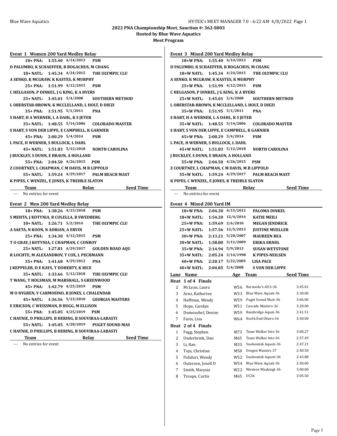**Hosted by Blue Wave Aquatics**

**Meet Program**

| Event 1 Women 200 Yard Medley Relay                |                            |                                                    |                  |
|----------------------------------------------------|----------------------------|----------------------------------------------------|------------------|
| 18+ PNA: 1:55.40 4/14/2013                         |                            | <b>PSM</b>                                         |                  |
| D PALUMBO, K SCHAEFFER, B BOGACHUS, M CHANG        |                            |                                                    |                  |
| 18+ NATL: 1:45.34 4/24/2015                        |                            | THE OLYMPIC CLU                                    |                  |
| A SENKO, K MCGRAW, K KASTES, K MURPHY              |                            |                                                    |                  |
|                                                    | 25+ PNA: 1:51.99 4/12/2015 | <b>PSM</b>                                         |                  |
| C HELGASON, P DINKEL, J G KING, K A BYERS          |                            |                                                    |                  |
| 25+ NATL: 1:45.01 5/4/2008                         |                            | <b>SOUTHERN METHOD</b>                             |                  |
| L OBERSTAR-BROWN, K MCCLELLAND, L HOLT, D DIEZI    |                            |                                                    |                  |
| 35+ PNA: 1:51.95 5/1/2011                          |                            | <b>PNA</b>                                         |                  |
| S HART, H A WERNER, L A DAHL, K S JETER            |                            |                                                    |                  |
| 35+ NATL: 1:48.55 5/14/2006                        |                            | <b>COLORADO MASTER</b>                             |                  |
| S HART, S VON DER LIPPE, E CAMPBELL, K GARNIER     |                            |                                                    |                  |
| 45+ PNA: 2:00.29 5/4/2014                          |                            | <b>PSM</b>                                         |                  |
| L PACE, H WERNER, S BULLOCK, L DAHL                |                            |                                                    |                  |
| 45+ NATL: 1:51.83 5/12/2018                        |                            | <b>NORTH CAROLINA</b>                              |                  |
| <b>J BUCKLEY, S DUNN, E BRAUN, A HOLLAND</b>       |                            |                                                    |                  |
|                                                    | 55+ PNA: 2:04.50 4/26/2015 | <b>PSM</b>                                         |                  |
| Z COURTNEY, L CHAPMAN, C M DAVIS, M B LIPPOLD      |                            |                                                    |                  |
| 55+ NATL:                                          | 1:59.24 4/29/2017          | <b>PALM BEACH MAST</b>                             |                  |
| K PIPES, C WENZEL, E JONES, K TREIBLE SLATON       |                            |                                                    |                  |
| Team                                               |                            | Relay Seed Time                                    |                  |
| No entries for event<br>---                        |                            |                                                    |                  |
|                                                    |                            |                                                    |                  |
| Event 2 Men 200 Yard Medley Relay                  |                            |                                                    |                  |
| 18+ PNA:                                           | 1:38.26 4/15/2018          | <b>PSM</b>                                         |                  |
| S MEHTA, J KOTYNIA, R COLELLA, B SWEDBERG          |                            |                                                    |                  |
| 18+ NATL: 1:26.71 5/2/2014                         |                            | THE OLYMPIC CLU                                    |                  |
| A SAETA, N KOON, N ADRIAN, A ERVIN                 |                            |                                                    |                  |
|                                                    | 25+ PNA: 1:34.30 4/12/2015 | <b>PSM</b>                                         |                  |
| T O GRAY, J KOTYNIA, C CHAPMAN, C CONROY           |                            |                                                    |                  |
| 25+ NATL: 1:27.81 4/29/2017                        |                            | <b>GOLDEN ROAD AQU</b>                             |                  |
| R LOCHTE, M ALEXANDROV, T COX, L PECHMANN          |                            |                                                    |                  |
|                                                    | 35+ PNA: 1:41.68 4/29/2012 | <b>PNA</b>                                         |                  |
| <b>J KEPPELER, D E KAYS, T DOHERTY, K RICE</b>     |                            |                                                    |                  |
|                                                    |                            | 35+ NATL: 1:33.66 5/12/2018 THE OLYMPIC CLU        |                  |
| T WANG, T HOLSMAN, M MARSHALL, S GREENWOOD         |                            |                                                    |                  |
| 45+ PNA:                                           | 1:42.79 4/25/2019          | <b>PSM</b>                                         |                  |
| M O NYGREN, V CARMOSINO, B JONES, L CHALENDAR      |                            |                                                    |                  |
| 45+ NATL:                                          | 1:36.56 5/23/2010          | <b>GEORGIA MASTERS</b>                             |                  |
| E ERICSON, C WEISSMAN, B BUGG, M ELLISON           |                            |                                                    |                  |
| 55+ PNA:                                           | 1:45.05 4/25/2019          | <b>PSM</b>                                         |                  |
| C HAYNIE, D PHILLIPS, B HERING, B SOUVIRAA-LABASTI |                            |                                                    |                  |
| 55+ NATL:                                          | 1:45.05 4/28/2019          | <b>PUGET SOUND MAS</b>                             |                  |
|                                                    |                            |                                                    |                  |
|                                                    |                            | C HAYNIE, D PHILLIPS, B HERING, B SOUVIRAA-LABASTI |                  |
| Team                                               | Relay                      |                                                    | <b>Seed Time</b> |
| No entries for event<br>---                        |                            |                                                    |                  |

|                                                 |                            | Event 3 Mixed 200 Yard Medley Relay |                    |  |  |  |  |  |
|-------------------------------------------------|----------------------------|-------------------------------------|--------------------|--|--|--|--|--|
| 18+W PNA:                                       | 1:55.40 4/14/2013          | <b>PSM</b>                          |                    |  |  |  |  |  |
| D PALUMBO, K SCHAEFFER, B BOGACHUS, M CHANG     |                            |                                     |                    |  |  |  |  |  |
| 18+W NATL: 1:45.34 4/24/2015                    |                            | THE OLYMPIC CLU                     |                    |  |  |  |  |  |
| A SENKO, K MCGRAW, K KASTES, K MURPHY           |                            |                                     |                    |  |  |  |  |  |
| 25+W PNA: 1:51.99 4/12/2015                     |                            | <b>PSM</b>                          |                    |  |  |  |  |  |
| C HELGASON, P DINKEL, J G KING, K A BYERS       |                            |                                     |                    |  |  |  |  |  |
| 25+W NATL: 1:45.01 5/4/2008                     |                            | <b>SOUTHERN METHOD</b>              |                    |  |  |  |  |  |
| L OBERSTAR-BROWN, K MCCLELLAND, L HOLT, D DIEZI |                            |                                     |                    |  |  |  |  |  |
| 35+W PNA: 1:51.95 5/1/2011                      |                            | <b>PNA</b>                          |                    |  |  |  |  |  |
| S HART, H A WERNER, L A DAHL, K S JETER         |                            |                                     |                    |  |  |  |  |  |
| 35+W NATL: 1:48.55 5/14/2006                    |                            | <b>COLORADO MASTER</b>              |                    |  |  |  |  |  |
| S HART, S VON DER LIPPE, E CAMPBELL, K GARNIER  |                            |                                     |                    |  |  |  |  |  |
| $45+W$ PNA:                                     | $2:00.29$ 5/4/2014         | <b>PSM</b>                          |                    |  |  |  |  |  |
| L PACE, H WERNER, S BULLOCK, L DAHL             |                            |                                     |                    |  |  |  |  |  |
| 45+W NATL: 1:51.83 5/12/2018                    |                            | <b>NORTH CAROLINA</b>               |                    |  |  |  |  |  |
| J BUCKLEY, S DUNN, E BRAUN, A HOLLAND           |                            |                                     |                    |  |  |  |  |  |
| 55+W PNA: 2:04.50 4/26/2015                     |                            | <b>PSM</b>                          |                    |  |  |  |  |  |
| Z COURTNEY, L CHAPMAN, C M DAVIS, M B LIPPOLD   |                            |                                     |                    |  |  |  |  |  |
| 55+W NATL:                                      |                            | 1:59.24 4/29/2017 PALM BEACH MAST   |                    |  |  |  |  |  |
| K PIPES, C WENZEL, E JONES, K TREIBLE SLATON    |                            |                                     |                    |  |  |  |  |  |
| <b>Team</b>                                     |                            | Relay                               | <b>Seed Time</b>   |  |  |  |  |  |
| No entries for event<br>aaa in                  |                            |                                     |                    |  |  |  |  |  |
|                                                 |                            |                                     |                    |  |  |  |  |  |
| Event 4 Mixed 200 Yard IM                       |                            |                                     |                    |  |  |  |  |  |
| 18+W PNA: 2:04.30 4/15/2012                     |                            | <b>PALOMA DINKEL</b>                |                    |  |  |  |  |  |
| 18+W NATL: 1:54.20 12/4/2014                    |                            | <b>KATIE MEILI</b>                  |                    |  |  |  |  |  |
|                                                 |                            |                                     |                    |  |  |  |  |  |
|                                                 | 25+W PNA: 1:59.69 2/6/2010 | <b>MEGAN JENDRICK</b>               |                    |  |  |  |  |  |
| 25+W NATL: 1:57.56 12/5/2013                    |                            | <b>JUSTINE MUELLER</b>              |                    |  |  |  |  |  |
| 30+W PNA: 2:13.21 5/20/2007                     |                            | <b>MAUREEN REA</b>                  |                    |  |  |  |  |  |
| 30+W NATL: 1:58.80 3/11/2009                    |                            | <b>ERIKA ERNDL</b>                  |                    |  |  |  |  |  |
| 35+W PNA: 2:14.94 5/9/2013                      |                            | <b>SUSAN WETSTONE</b>               |                    |  |  |  |  |  |
| 35+W NATL: 2:05.24 3/14/1998                    |                            | <b>K PIPES-NEILSEN</b>              |                    |  |  |  |  |  |
| $40+W$ PNA: $2:20.17$ $5/22/2005$               |                            | <b>LISA PACE</b>                    |                    |  |  |  |  |  |
| 40+W NATL: 2:04.85 5/4/2008                     |                            | <b>S VON DER LIPPE</b>              |                    |  |  |  |  |  |
|                                                 |                            |                                     |                    |  |  |  |  |  |
| Lane Name                                       |                            | Age Team                            | <b>Seed Time</b>   |  |  |  |  |  |
| Heat 1 of 4 Finals                              |                            |                                     | 3:45.01            |  |  |  |  |  |
| 2<br>McLean, Laura                              |                            | W56 Bernardo's All S-36             |                    |  |  |  |  |  |
| 3<br>Arns, Katherine                            | W33                        | Blue Wave Aquati-36                 | 3:30.00            |  |  |  |  |  |
| 4<br>Hoffman, Wendy                             | W59                        | Puget Sound Mast-36                 | 3:06.00            |  |  |  |  |  |
| 5<br>Hope, Carolyn                              | W51                        | Cascade Masters-36                  | 3:20.00            |  |  |  |  |  |
| Dumouchel, Denise<br>6                          | W59                        | Bainbridge Aquat-36                 | 3:41.51            |  |  |  |  |  |
| 7<br>Farin, Lisa                                | W64                        | North End Otters-36                 | 3:50.00            |  |  |  |  |  |
| Heat 2 of 4 Finals                              |                            |                                     |                    |  |  |  |  |  |
| $\mathbf{1}$<br>Fogg, Stephen                   | M73                        | Team Walker Inte-36                 | 3:00.27            |  |  |  |  |  |
| 2<br>Underbrink, Dan                            | M65                        | Team Walker Inte-36                 | 2:57.49            |  |  |  |  |  |
| 3<br>Li, Ran                                    | M33                        | Snohomish Aquati-36                 | 2:47.21            |  |  |  |  |  |
| 4<br>Tujo, Christian                            | M50                        | Oregon Masters-37                   | 2:40.50            |  |  |  |  |  |
| 5<br>Polidori, Wendy                            | W52                        | Snohomish Aquati-36                 | 2:43.88            |  |  |  |  |  |
| 6<br>Outerson, Jenell D                         | W54                        | Blue Wave Aquati-36                 | 2:50.00            |  |  |  |  |  |
| 7<br>Smith, Marysia<br>8<br>Troupe, Curtis      | W22<br>M65                 | Western Washingt-36<br>UC36         | 3:00.00<br>3:05.50 |  |  |  |  |  |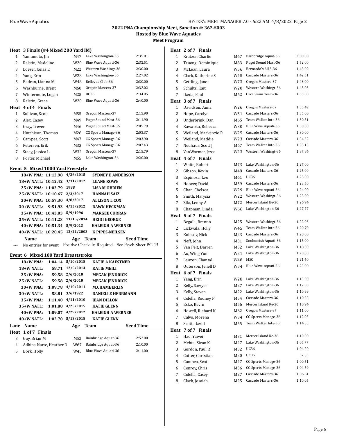**Hosted by Blue Wave Aquatics**

**Meet Program**

### **Heat 3 Finals (#4 Mixed 200 Yard IM)**

| 1    | Yamamoto, Jin     | M47             | Lake Washington-36  | 2:35.01 |
|------|-------------------|-----------------|---------------------|---------|
| 2    | Ralstin, Madeline | W <sub>20</sub> | Blue Wave Aquati-36 | 2:32.51 |
| 3    | Loeser, Jonas E   | M22             | Western Washingt-36 | 2:30.00 |
| 4    | Yang, Erin        | W28             | Lake Washington-36  | 2:27.02 |
| 5    | Badran, Lianna M  | W48             | Bellevue Club-36    | 2:30.00 |
| 6    | Washburne, Brent  | M60             | Oregon Masters-37   | 2:32.02 |
| 7    | Wintermute, Logan | M25             | UC36                | 2:34.95 |
| 8    | Ralstin, Grace    | W <sub>20</sub> | Blue Wave Aquati-36 | 2:40.00 |
| Heat | 4 of 4 Finals     |                 |                     |         |
|      |                   |                 |                     |         |
| 1    | Sullivan, Scot    | M55             | Oregon Masters-37   | 2:15.90 |
| 2    | Alex, Casey       | M49             | Puget Sound Mast-36 | 2:11.90 |
| 3    | Gray, Trever      | M46             | Puget Sound Mast-36 | 2:05.79 |
| 4    | Hutchison, Thomas | M26             | CG Sports Manage-36 | 2:03.37 |
| 5    | Campea, Scott     | M47             | CG Sports Manage-36 | 2:03.90 |
| 6    | Petersen, Erik    | M33             | CG Sports Manage-36 | 2:07.43 |
| 7    | Stacy, Jessica L  | W32             | Oregon Masters-37   | 2:15.79 |
| 8    | Porter, Michael   | M55             | Lake Washington-36  | 2:20.00 |

### **Event 5 Mixed 1000 Yard Freestyle**

| 18+W PNA: 11:12.98 4/26/2015      |           | <b>SYDNEY E ANDERSON</b> |
|-----------------------------------|-----------|--------------------------|
| 18+W NATL: 10:12.42               | 3/31/2012 | <b>LUANE ROWE</b>        |
| 25+W PNA: 11:03.79                | 1988      | <b>LISA M OBRIEN</b>     |
| 25+W NATL: 10:10.67               | 2/3/2017  | <b>HANNAH SAIZ</b>       |
| 30+W PNA: 10:57.30 4/8/2017       |           | <b>ALLISON L COX</b>     |
| $30+$ W NATL: 9:51.93 $4/15/2012$ |           | <b>DAWN HECKMAN</b>      |
| 35+W PNA: 10:43.03 5/9/1996       |           | <b>MARGEE CURRAN</b>     |
| 35+W NATL: 10:11.23 11/15/2014    |           | <b>HEIDI GEORGE</b>      |
| 40+W PNA: $10:51.34$ $5/9/2013$   |           | <b>HALEIGH A WERNER</b>  |
| 40+W NATL: 10:20.45 12/21/2003    |           | <b>K PIPES-NEILSEN</b>   |
| Name                              | Age       | Seed Time<br>Team        |

--- No entries for event Positive Check-In Required - See Psych Sheet PG 15

### **Event 6 Mixed 100 Yard Breaststroke**

|      | <b>18+W PNA:</b>        |         | $1:04.14$ $5/10/2018$ | <b>KATIE A KAESTNER</b>  |                  |
|------|-------------------------|---------|-----------------------|--------------------------|------------------|
|      | 18+W NATL:              | 58.71   | 12/5/2014             | <b>KATIE MEILI</b>       |                  |
|      | $25+W$ PNA:             | 59.58   | 2/6/2010              | <b>MEGAN JENDRICK</b>    |                  |
|      | $25+W$ NATL:            | 59.58   | 2/6/2010              | <b>MEGAN JENDRICK</b>    |                  |
|      | $30+W$ PNA:             | 1:09.78 | 4/10/2011             | <b>M.CHAMBERLIN</b>      |                  |
|      | $30+W$ NATL:            | 58.81   | 3/6/1922              | <b>DANIELLE HERRMANN</b> |                  |
|      | 35+W PNA:               | 1:11.40 | 4/11/2010             | <b>JEAN DILLON</b>       |                  |
|      | $35+W$ NATL:            | 1:01.88 | 4/25/2015             | <b>KATIE GLENN</b>       |                  |
|      | 40+W PNA:               | 1:09.07 | 4/29/2012             | <b>HALEIGH A WERNER</b>  |                  |
|      | $40+W$ NATL:            | 1:02.70 | 5/13/2018             | <b>KATIE GLENN</b>       |                  |
| Lane | Name                    |         | Age                   | Team                     | <b>Seed Time</b> |
|      | Heat 1 of 7 Finals      |         |                       |                          |                  |
| 3    | Guy, Brian M            |         | M52                   | Bainbridge Aquat-36      | 2:52.00          |
| 4    | Adkins-Narte. Heather D |         | W67                   | Bainbridge Aquat-36      | 2:10.00          |
| 5    | Bork, Holly             |         | W45                   | Blue Wave Aquati-36      | 2:11.00          |

### **Heat 2 of 7 Finals**

| 1            | Kratzer, Charlie     | M67 | Bainbridge Aquat-36 | 2:00.00 |
|--------------|----------------------|-----|---------------------|---------|
| 2            | Truong, Dominique    | M83 | Puget Sound Mast-36 | 1:52.00 |
| 3            | McLean, Laura        | W56 | Bernardo's All S-36 | 1:43.02 |
| 4            | Clark, Katherine S   | W45 | Cascade Masters-36  | 1:42.51 |
| 5            | Gettling, Janet      | W73 | Oregon Masters-37   | 1:43.00 |
| 6            | Schultz, Kait        | W20 | Western Washingt-36 | 1:43.03 |
| 7            | Ikeda, Paul          | M62 | Orca Swim Team-36   | 1:55.00 |
|              | Heat 3 of 7 Finals   |     |                     |         |
| 1            | Davidson, Anna       | W26 | Oregon Masters-37   | 1:35.49 |
| 2            | Hope, Carolyn        | W51 | Cascade Masters-36  | 1:35.00 |
| 3            | Underbrink, Dan      | M65 | Team Walker Inte-36 | 1:30.51 |
| 4            | Kawaoka, Rebecca     | W30 | Blue Wave Aquati-36 | 1:30.00 |
| 5            | Weiland, Mackenzie R | W25 | Cascade Masters-36  | 1:30.00 |
| 6            | Weiland, Maddie      | W23 | Cascade Masters-36  | 1:34.32 |
| 7            | Neuhaus, Scott J     | M67 | Team Walker Inte-36 | 1:35.13 |
| 8            | VanWormer, Jessa     | W23 | Western Washingt-36 | 1:37.84 |
| Heat         | 4 of 7 Finals        |     |                     |         |
| 1            | White, Robert        | M73 | Lake Washington-36  | 1:27.00 |
| 2            | Gibson, Kevin        | M48 | Cascade Masters-36  | 1:25.00 |
| 3            | Espinosa, Leo        | M61 | <b>UC36</b>         | 1:25.00 |
| 4            | Hoover, David        | M59 | Cascade Masters-36  | 1:23.50 |
| 5            | Chan, Chelsea        | W29 | Blue Wave Aquati-36 | 1:24.00 |
| 6            | Smith, Marysia       | W22 | Western Washingt-36 | 1:25.00 |
| 7            | Zilz, Lenny A        | M72 | Mercer Island Be-36 | 1:26.94 |
| 8            | Chapman, Linda       | W66 | Lake Washington-36  | 1:27.77 |
|              | Heat 5 of 7 Finals   |     |                     |         |
| $\mathbf{1}$ | Begalli, Brent A     | M25 | Western Washingt-36 | 1:22.03 |
| 2            | Lickwala, Holly      | W45 | Team Walker Inte-36 | 1:20.79 |
| 3            | Kolesov, Nick        | M23 | Cascade Masters-36  | 1:20.00 |
| 4            | Neff, John           | M31 | Snohomish Aquati-36 | 1:15.00 |
| 5            | Van Pelt, Darren     | M52 | Lake Washington-36  | 1:18.00 |
| 6            | Au, Wing Yun         | W21 | Lake Washington-36  | 1:20.00 |
| 7            | Lauzon, Chantal      | W48 | MSC                 | 1:21.60 |
| 8            | Outerson, Jenell D   | W54 | Blue Wave Aquati-36 | 1:23.00 |
|              | Heat 6 of 7 Finals   |     |                     |         |
| 1            | Yang, Erin           | W28 | Lake Washington-36  | 1:13.00 |
| 2            | Kelly, Sawyer        | M27 | Lake Washington-36  | 1:12.00 |
| 3            | Kelly, Steven        | M22 | Lake Washington-36  | 1:10.99 |
| 4            | Colella, Rodney P    | M54 | Cascade Masters-36  | 1:10.55 |
| 5            | Esko, Kevin          | M56 | Mercer Island Re-36 | 1:10.94 |
| 6            | Howell, Richard K    | M62 | Oregon Masters-37   | 1:11.00 |
| 7            | Calvo, Morena        | W34 | CG Sports Manage-36 | 1:12.05 |
| 8            | Scott, David         | M55 | Team Walker Inte-36 | 1:14.55 |
| Heat         | 7 of 7 Finals        |     |                     |         |
| 1            | Hao, Yawei           | M31 | Mercer Island Re-36 | 1:10.00 |
| 2            | Mehta, Sivan K       | M27 | Lake Washington-36  | 1:05.77 |
| 3            | Gordon, Paul R       | M32 | <b>UC36</b>         | 1:04.20 |
| 4            | Cutter, Christian    | M20 | <b>UC35</b>         | 57.53   |
| 5            | Campea, Scott        | M47 | CG Sports Manage-36 | 1:00.51 |
| 6            | Conroy, Chris        | M36 | CG Sports Manage-36 | 1:04.59 |
| 7            | Colella, Casey       | M27 | Cascade Masters-36  | 1:06.61 |
| 8            | Clark, Josaiah       | M25 | Cascade Masters-36  | 1:10.05 |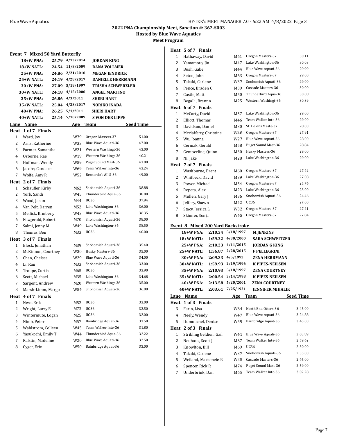### **2022 PNA Championship Meet, Sanction #: 362-S003**

**Hosted by Blue Wave Aquatics**

**Meet Program**

### **Heat 5 of 7 Finals**

|              | <b>Event 7 Mixed 50 Yard Butterfly</b> |                   |                          |                  |   | Heat 5 of 7 Finals                |                       |                         |                  |
|--------------|----------------------------------------|-------------------|--------------------------|------------------|---|-----------------------------------|-----------------------|-------------------------|------------------|
|              |                                        |                   |                          |                  | 1 | Hathaway, David                   | M61                   | Oregon Masters-37       | 30.11            |
|              | 18+W PNA:                              | 25.79 4/13/2014   | <b>JORDAN KING</b>       |                  | 2 | Yamamoto, Jin                     | M47                   | Lake Washington-36      | 30.03            |
|              | 18+W NATL:                             | 24.54 11/8/2009   | <b>DANA VOLLMER</b>      |                  | 3 | Bush, Gabe                        | M44                   | Blue Wave Aquati-36     | 29.99            |
|              | 25+W PNA:                              | 24.86 2/21/2010   | <b>MEGAN JENDRICK</b>    |                  | 4 | Seton, John                       | M63                   | Oregon Masters-37       | 29.00            |
|              | 25+W NATL:                             | 24.19 4/28/2017   | <b>DANIELLE HERRMANN</b> |                  | 5 | Takaki, Carlene                   | W37                   | Snohomish Aquati-36     | 29.00            |
|              | 30+W PNA:<br>27.09                     | 5/18/1997         | <b>TRISHA SCHWERZLER</b> |                  | 6 | Pence, Braden C                   | M39                   | Cascade Masters-36      | 30.00            |
|              | 30+W NATL:                             | 24.18 $4/15/2000$ | <b>ANGEL MARTINO</b>     |                  | 7 | Castle, Matt                      | M50                   | Thunderbird Aqua-36     | 30.08            |
|              | 35+W PNA:                              | 26.86 4/3/2011    | <b>SHERI HART</b>        |                  | 8 | Begalli, Brent A                  | M25                   | Western Washingt-36     | 30.39            |
|              | 35+W NATL:                             | 25.04 4/28/2017   | <b>NORIKO INADA</b>      |                  |   | Heat 6 of 7 Finals                |                       |                         |                  |
|              | 40+W PNA:                              | 26.25 5/1/2011    | <b>SHERI HART</b>        |                  | 1 | McCarty, David                    | M57                   | Lake Washington-36      | 29.00            |
|              | 40+W NATL:                             | 25.14 5/10/2009   | <b>S VON DER LIPPE</b>   |                  | 2 | Elliott, Thomas                   | M46                   | Team Walker Inte-36     | 29.00            |
|              | Lane Name                              |                   | Age Team                 | <b>Seed Time</b> | 3 | Davidson, Daniel                  | M30                   | St Helens Maste-37      | 28.00            |
|              | Heat 1 of 7 Finals                     |                   |                          |                  | 4 | Mcclafferty, Christine            | W48                   | Oregon Masters-37       | 27.91            |
| $\mathbf{1}$ | Ward, Joy                              | W79               | Oregon Masters-37        | 51.00            | 5 | Wu, Joanna                        | W27                   | Blue Wave Aquati-36     | 28.00            |
| 2            | Arns, Katherine                        | W33               | Blue Wave Aquati-36      | 47.00            | 6 | Cermak, Gerald                    | M58                   | Puget Sound Mast-36     | 28.84            |
| 3            | Farmer, Samantha                       | W21               | Western Washingt-36      | 43.00            | 7 | Gemperline, Quinn                 | M30                   | Husky Masters-36        | 29.00            |
| 4            | Osborne, Rae                           | W19               | Western Washingt-36      | 40.21            | 8 | Ni, Jake                          | M28                   | Lake Washington-36      | 29.00            |
| 5            | Hoffman, Wendy                         | W59               | Puget Sound Mast-36      | 43.00            |   | Heat 7 of 7 Finals                |                       |                         |                  |
| 6            | Jacobs, Candace                        | W69               | Team Walker Inte-36      | 43.24            | 1 | Washburne, Brent                  | M60                   | Oregon Masters-37       | 27.42            |
| 7            | Wolfe, Amy R                           | W52               | Bernardo's All S-36      | 49.00            | 2 | Whitbeck, David                   | M39                   | Lake Washington-36      | 27.08            |
| Heat         | 2 of 7 Finals                          |                   |                          |                  | 3 | Power, Michael                    | M54                   | Oregon Masters-37       | 25.76            |
| 1            | Schaufler, Kirby                       | M62               | Snohomish Aquati-36      | 38.88            | 4 | Repeta, Alex                      | M23                   | Lake Washington-36      | 23.00            |
| 2            | York, Sandi                            | W45               | Thunderbird Aqua-36      | 38.00            | 5 | Mullen, Gary J                    | M36                   | Snohomish Aquati-36     | 24.46            |
| 3            | Wood, Jason                            | M44               | <b>UC36</b>              | 37.94            | 6 | Jeffery, Shawn                    | M42                   | UC36                    | 27.00            |
| 4            | Van Pelt, Darren                       | M52               | Lake Washington-36       | 36.00            | 7 | Stacy, Jessica L                  | W32                   | Oregon Masters-37       | 27.21            |
| 5            | Mellick, Kimberly                      | W43               | Blue Wave Aquati-36      | 36.35            | 8 | Skinner, Sonja                    | W45                   | Oregon Masters-37       | 27.84            |
| 6            | Fitzgerald, Robert                     | M70               | Snohomish Aquati-36      | 38.00            |   |                                   |                       |                         |                  |
| 7            | Salmi, Jenny M                         | W49               | Lake Washington-36       | 38.50            |   | Event 8 Mixed 200 Yard Backstroke |                       |                         |                  |
| 8            | Thomas, Ben                            | M33               | UC36                     | 40.00            |   | 18+W PNA:                         | $2:10.34$ $5/18/1997$ | M.JENKINS               |                  |
|              | Heat 3 of 7 Finals                     |                   |                          |                  |   | 18+W NATL:                        | 1:59.22 4/30/2000     | <b>SARA SCHWEITZER</b>  |                  |
| 1            | Block, Jonathan                        | M39               | Snohomish Aquati-36      | 35.40            |   | 25+W PNA:                         | $2:10.23$ $4/11/2015$ | <b>JORDAN G KING</b>    |                  |
| 2            | McKinnon, Courtney                     | W30               | Husky Masters-36         | 35.00            |   | 25+W NATL:                        | 1:56.87 2/28/2015     | <b>F PELLEGRINI</b>     |                  |
| 3            | Chan, Chelsea                          | W29               | Blue Wave Aquati-36      | 34.00            |   | 30+W PNA:                         | 2:09.33 4/5/1992      | ZENA HERRMANN           |                  |
| 4            | Li, Ran                                | M33               | Snohomish Aquati-36      | 33.00            |   | 30+W NATL:                        | 1:59.93 2/19/1996     | <b>K PIPES-NEILSEN</b>  |                  |
| 5            | Troupe, Curtis                         | M65               | <b>UC36</b>              | 33.90            |   | 35+W PNA:                         | 2:10.93 5/18/1997     | ZENA COURTNEY           |                  |
| 6            | Scott, Michael                         | M35               | Lake Washington-36       | 34.68            |   | 35+W NATL:                        | 2:00.54 3/14/1998     | <b>K PIPES-NEILSEN</b>  |                  |
| 7            | Sargent, Andrew                        | M20               | Western Washingt-36      | 35.00            |   | 40+W PNA:                         | 2:13.58 5/20/2001     | <b>ZENA COURTNEY</b>    |                  |
| 8            | Marsh-Limm, Margo                      | W54               | Snohomish Aquati-36      | 36.00            |   | 40+W NATL:                        | 2:03.61 7/25/1921     | <b>JENNIFER MIHALIK</b> |                  |
|              | Heat 4 of 7 Finals                     |                   |                          |                  |   | Lane Name                         |                       | Age Team                | <b>Seed Time</b> |
| 1            | Ness, Erik                             | M52               | UC36                     | 33.00            |   | Heat 1 of 3 Finals                |                       |                         |                  |
| 2            | Wright, Larry E                        | M73               | UC36                     | 32.50            | 3 | Farin, Lisa                       | W64                   | North End Otters-36     | 3:45.00          |
| 3            | Wintermute, Logan                      | M25               | <b>UC36</b>              | 32.00            | 4 | Neely, Wendy                      | W47                   | Blue Wave Aquati-36     | 3:24.88          |
| 4            | Nimb, Peter                            | M57               | Bainbridge Aquat-36      | 31.50            | 5 | Dumouchel, Denise                 | W59                   | Bainbridge Aquat-36     | 3:45.00          |
| 5            | Wahlstrom, Colleen                     | W45               | Team Walker Inte-36      | 31.80            |   | Heat 2 of 3 Finals                |                       |                         |                  |
| 6            | Yasukochi, Emily T                     | W44               | Thunderbird Aqua-36      | 32.22            | 1 | Stribling Geldien, Gail           | W41                   | Blue Wave Aquati-36     | 3:03.89          |
| 7            | Ralstin, Madeline                      | W <sub>20</sub>   | Blue Wave Aquati-36      | 32.50            | 2 | Neuhaus, Scott J                  | M67                   | Team Walker Inte-36     | 2:59.62          |
| 8            | Cyger, Erin                            | W50               | Bainbridge Aquat-36      | 33.00            | 3 | Knowlton, Bill                    | M69                   | UC36                    | 2:50.00          |
|              |                                        |                   |                          |                  | 4 | Takaki, Carlene                   | W37                   | Snohomish Aquati-36     | 2:35.00          |
|              |                                        |                   |                          |                  | 5 | Weiland, Mackenzie R              | W <sub>25</sub>       | Cascade Masters-36      | 2:45.00          |

| Heat                 | 1 of 3 Finals                     |                    |                        |                                             |                  |
|----------------------|-----------------------------------|--------------------|------------------------|---------------------------------------------|------------------|
| Lane                 | Name                              |                    | Age                    | <b>Team</b>                                 | <b>Seed Time</b> |
|                      | 40+W NATL:                        | 2:03.61            | 7/25/1921              | <b>JENNIFER MIHALIK</b>                     |                  |
|                      | 40+W PNA:                         | 2:13.58            | 5/20/2001              | <b>ZENA COURTNEY</b>                        |                  |
|                      | 35+W NATL:                        | 2:00.54            | 3/14/1998              | <b>K PIPES-NEILSEN</b>                      |                  |
|                      | 35+W PNA:                         | 2:10.93            | 5/18/1997              | <b>ZENA COURTNEY</b>                        |                  |
|                      | 30+W NATL:                        | 1:59.93            | 2/19/1996              | <b>K PIPES-NEILSEN</b>                      |                  |
|                      | 30+W PNA:                         | 2:09.33            | 4/5/1992               | <b>ZENA HERRMANN</b>                        |                  |
|                      | 25+W PNA:<br>$25+W$ NATL:         | 2:10.23<br>1:56.87 | 2/28/2015              | <b>JORDAN G KING</b><br><b>F PELLEGRINI</b> |                  |
|                      | 18+W NATL:                        | 1:59.22            | 4/30/2000<br>4/11/2015 | <b>SARA SCHWEITZER</b>                      |                  |
|                      | 18+W PNA:                         | 2:10.34            | 5/18/1997              | <b>M.JENKINS</b>                            |                  |
|                      | Event 8 Mixed 200 Yard Backstroke |                    |                        |                                             |                  |
|                      |                                   |                    |                        |                                             |                  |
| 8                    | Skinner, Sonja                    |                    | W45                    | Oregon Masters-37                           | 27.84            |
| 7                    | Stacy, Jessica L                  |                    | W32                    | Oregon Masters-37                           | 27.21            |
| 6                    | Jeffery, Shawn                    |                    | M42                    | UC36                                        | 27.00            |
| 5                    | Mullen, Gary J                    |                    | M36                    | Snohomish Aquati-36                         | 24.46            |
| $\overline{4}$       | Repeta, Alex                      |                    | M23                    | Lake Washington-36                          | 23.00            |
| 3                    | Power, Michael                    |                    | M54                    | Oregon Masters-37                           | 25.76            |
| 2                    | Whitbeck, David                   |                    | M39                    | Lake Washington-36                          | 27.08            |
| 1                    | Washburne, Brent                  |                    | M60                    | Oregon Masters-37                           | 27.42            |
| Heat                 | 7 of 7 Finals                     |                    |                        |                                             |                  |
| 8                    | Ni, Jake                          |                    | M28                    | Lake Washington-36                          | 29.00            |
| 7                    | Gemperline, Quinn                 |                    | M30                    | Husky Masters-36                            | 29.00            |
| 6                    | Cermak, Gerald                    |                    | M58                    | Puget Sound Mast-36                         | 28.84            |
| 5                    | Wu, Joanna                        |                    | W27                    | Blue Wave Aquati-36                         | 28.00            |
| $\overline{4}$       | Mcclafferty, Christine            |                    | W48                    | Oregon Masters-37                           | 27.91            |
| 3                    | Davidson, Daniel                  |                    | M30                    | St Helens Maste-37                          | 28.00            |
| 2                    | Elliott, Thomas                   |                    | M46                    | Team Walker Inte-36                         | 29.00            |
| Heat<br>$\mathbf{1}$ | 6 of 7 Finals<br>McCarty, David   |                    | M57                    | Lake Washington-36                          | 29.00            |
|                      |                                   |                    |                        |                                             |                  |
| 8                    | Castle, Matt<br>Begalli, Brent A  |                    | M50<br>M25             | Western Washingt-36                         | 30.39            |
| 6<br>7               | Pence, Braden C                   |                    | M39                    | Thunderbird Aqua-36                         | 30.08            |
| 5                    | Takaki, Carlene                   |                    | W37                    | Snohomish Aquati-36<br>Cascade Masters-36   | 29.00<br>30.00   |
| 4                    | Seton, John                       |                    | M63                    | Oregon Masters-37                           | 29.00            |
| 3                    | Bush, Gabe                        |                    | M44                    | Blue Wave Aquati-36                         | 29.99            |
| 2                    | Yamamoto, Jin                     |                    | M47                    | Lake Washington-36                          | 30.03            |
| $\mathbf{1}$         | Hathaway, David                   |                    | M61                    | Oregon Masters-37                           | 30.11            |
|                      |                                   |                    |                        |                                             |                  |

6 Spencer, Rick R M74 Puget Sound Mast-36 2:59.00 7 Underbrink, Dan M65 Team Walker Inte-36 3:02.28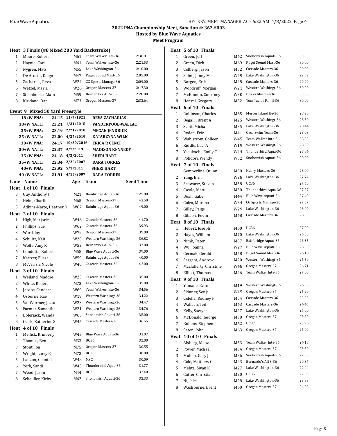**Hosted by Blue Wave Aquatics**

**Meet Program**

### **Heat 3 Finals (#8 Mixed 200 Yard Backstroke)**

| 1  | Moore, Robert     | M61 | Team Walker Inte-36 | 2:30.81 |
|----|-------------------|-----|---------------------|---------|
| 2  | Haynie, Carl      | M61 | Team Walker Inte-36 | 2:21.53 |
| 3  | Nygren, Mats      | M55 | Lake Washington-36  | 2:10.00 |
| 4  | De Acosta, Diego  | M47 | Puget Sound Mast-36 | 2:05.00 |
| .5 | Zacharias, Reva   | W24 | CG Sports Manage-36 | 2:09.00 |
| 6  | Wetzel, Maria     | W26 | Oregon Masters-37   | 2:17.30 |
| 7  | Steenbeeke, Alain | M59 | Bernardo's All S-36 | 2:28.00 |
| 8  | Kirkland, Dan     | M73 | Oregon Masters-37   | 2:32.64 |

### **Event 9 Mixed 50 Yard Freestyle**

|                    | 18+W PNA:<br>24.15      | 11/7/1921  | <b>REVA ZACHARIAS</b>  |                  |
|--------------------|-------------------------|------------|------------------------|------------------|
|                    | 22.21<br>18+W NATL:     | 1/31/2015  | VANDERPOOL-WALLAC      |                  |
|                    | 25+W PNA:<br>23.19      | 2/21/2010  | <b>MEGAN JENDRICK</b>  |                  |
|                    | 25+W NATL:<br>22.00     | 4/27/2019  | <b>KATARZYNA WILK</b>  |                  |
| 30+W PNA:<br>24.17 |                         | 10/30/2016 | <b>ERICA R CENCI</b>   |                  |
|                    | 30+W NATL:<br>22.37     | 4/7/2019   | <b>MADISON KENNEDY</b> |                  |
|                    | 35+W PNA:<br>24.18      | 4/3/2011   | <b>SHERI HART</b>      |                  |
|                    | 35+W NATL:<br>22.34     | 2/25/2007  | <b>DARA TORRES</b>     |                  |
|                    | 40+W PNA:<br>23.92      | 5/1/2011   | <b>SHERI HART</b>      |                  |
|                    | 40+W NATL:<br>21.91     | 4/15/2007  | <b>DARA TORRES</b>     |                  |
|                    | Lane Name               | Age        | <b>Team</b>            | <b>Seed Time</b> |
| Heat               | 1 of 10 Finals          |            |                        |                  |
| 3                  | Guy, Anthony J          | M21        | Bainbridge Aquat-36    | 1:25.00          |
| 4                  | Helm, Charlie           | M65        | Oregon Masters-37      | 43.50            |
| 5                  | Adkins-Narte, Heather D | W67        | Bainbridge Aquat-36    | 49.00            |
| Heat               | 2 of 10 Finals          |            |                        |                  |
| $\mathbf{1}$       | High, Marjorie          | W46        | Cascade Masters-36     | 41.70            |
| 2                  | Phillips, Sue           | W62        | Cascade Masters-36     | 39.93            |
| 3                  | Ward, Joy               | W79        | Oregon Masters-37      | 39.00            |
| $\overline{4}$     | Schultz, Kait           | W20        | Western Washingt-36    | 36.82            |
| 5                  | Wolfe, Amy R            | W52        | Bernardo's All S-36    | 37.00            |
| 6                  | Condotta, Robert        | M58        | Blue Wave Aquati-36    | 39.00            |
| 7                  | Kratzer, Elissa         | W59        | Bainbridge Aquat-36    | 40.00            |
| 8                  | McVarish, Nicole        | W40        | Cascade Masters-36     | 42.00            |
| Heat               | 3 of 10 Finals          |            |                        |                  |
| 1                  | Weiland, Maddie         | W23        | Cascade Masters-36     | 35.00            |
| 2                  | White, Robert           | M73        | Lake Washington-36     | 35.00            |
| 3                  | Jacobs, Candace         | W69        | Team Walker Inte-36    | 34.56            |
| 4                  | Osborne, Rae            | W19        | Western Washingt-36    | 34.22            |
| 5                  | VanWormer, Jessa        | W23        | Western Washingt-36    | 34.47            |
| 6                  | Farmer, Samantha        | W21        | Western Washingt-36    | 34.76            |
| 7                  | Bolerjack, Wanda        | W65        | Snohomish Aquati-36    | 35.00            |
| 8                  | Clark, Katherine S      | W45        | Cascade Masters-36     | 36.55            |
| Heat               | 4 of 10 Finals          |            |                        |                  |
| 1                  | Mellick, Kimberly       | W43        | Blue Wave Aquati-36    | 33.07            |
| 2                  | Thomas, Ben             | M33        | <b>UC36</b>            | 32.00            |
| 3                  | Stout, Jon              | M75        | Oregon Masters-37      | 30.55            |
| $\overline{4}$     | Wright, Larry E         | M73        | <b>UC36</b>            | 30.00            |
| 5                  | Lauzon, Chantal         | W48        | <b>MSC</b>             | 30.09            |
| 6                  | York, Sandi             | W45        | Thunderbird Aqua-36    | 31.77            |
| 7                  | Wood, Jason             | M44        | <b>UC36</b>            | 32.40            |
| 8                  | Schaufler, Kirby        | M62        | Snohomish Aquati-36    | 33.33            |
|                    |                         |            |                        |                  |

### **Heat 5 of 10 Finals**

| 1    | Green, Jeff            | M42 | Snohomish Aquati-36 | 30.00 |
|------|------------------------|-----|---------------------|-------|
| 2    | Green, Dick            | M69 | Puget Sound Mast-36 | 30.00 |
| 3    | Colberg, Jason         | M52 | Cascade Masters-36  | 29.99 |
| 4    | Salmi, Jenny M         | W49 | Lake Washington-36  | 29.59 |
| 5    | Borgen, Erik           | M48 | Cascade Masters-36  | 29.90 |
| 6    | Woodruff, Morgan       | W21 | Western Washingt-36 | 30.00 |
| 7    | McKinnon, Courtney     | W30 | Husky Masters-36    | 30.00 |
| 8    | Henzel, Gregory        | M52 | Tom Taylor Famil-36 | 30.00 |
| Heat | 6 of 10 Finals         |     |                     |       |
| 1    | Robinson, Charles      | M65 | Mercer Island Be-36 | 28.90 |
| 2    | Begalli, Brent A       | M25 | Western Washingt-36 | 28.50 |
| 3    | Scott, Michael         | M35 | Lake Washington-36  | 28.44 |
| 4    | Ryden, Eric            | M41 | Orca Swim Team-36   | 28.03 |
| 5    | Wahlstrom, Colleen     | W45 | Team Walker Inte-36 | 28.25 |
| 6    | Riddle, Luci A         | W19 | Western Washingt-36 | 28.50 |
| 7    | Yasukochi, Emily T     | W44 | Thunderbird Aqua-36 | 28.84 |
| 8    | Polidori, Wendy        | W52 | Snohomish Aquati-36 | 29.00 |
| Heat | 7 of 10 Finals         |     |                     |       |
| 1    | Gemperline, Quinn      | M30 | Husky Masters-36    | 28.00 |
| 2    | Yang, Erin             | W28 | Lake Washington-36  | 27.74 |
| 3    | Schwartz, Steven       | M58 | UC36                | 27.50 |
| 4    | Castle, Matt           | M50 | Thunderbird Aqua-36 | 27.27 |
| 5    | Bush, Gabe             | M44 | Blue Wave Aquati-36 | 27.49 |
| 6    | Calvo, Morena          | W34 | CG Sports Manage-36 | 27.57 |
| 7    | Gilley, Paige          | W29 | Lake Washington-36  | 28.00 |
| 8    | Gibson, Kevin          | M48 | Cascade Masters-36  | 28.00 |
|      | Heat 8 of 10 Finals    |     |                     |       |
| 1    | Hebert, Joseph         | M60 | UC36                | 27.00 |
| 2    | Hayes, William         | M70 | Lake Washington-36  | 26.50 |
| 3    | Nimb, Peter            | M57 | Bainbridge Aquat-36 | 26.35 |
| 4    | Wu, Joanna             | W27 | Blue Wave Aquati-36 | 26.00 |
| 5    | Cermak, Gerald         | M58 | Puget Sound Mast-36 | 26.18 |
| 6    | Sargent, Andrew        | M20 | Western Washingt-36 | 26.50 |
| 7    | Mcclafferty, Christine | W48 | Oregon Masters-37   | 26.71 |
| 8    | Elliott, Thomas        | M46 | Team Walker Inte-36 | 27.00 |
| Heat | 9 of 10 Finals         |     |                     |       |
| 1    | Yamane, Evan           | M19 | Western Washingt-36 | 26.00 |
| 2    | Skinner, Sonja         | W45 | Oregon Masters-37   | 25.90 |
| 3    | Colella, Rodney P      | M54 | Cascade Masters-36  | 25.55 |
| 4    | Wallach, Ted           | M43 | Cascade Masters-36  | 24.45 |
| 5    | Kelly, Sawyer          | M27 | Lake Washington-36  | 25.00 |
| 6    | McDonald, George       | M30 | Oregon Masters-37   | 25.80 |
| 7    | Bollens, Stephen       | M62 | UC37                | 25.96 |
| 8    | Seton, John            | M63 | Oregon Masters-37   | 26.00 |
| Heat | 10 of 10 Finals        |     |                     |       |
| 1    | Alsberg, Maoz          | M53 | Team Walker Inte-36 | 24.18 |
| 2    | Power, Michael         | M54 | Oregon Masters-37   | 23.50 |
| 3    | Mullen, Gary J         | M36 | Snohomish Aquati-36 | 22.50 |
| 4    | Cole, Matthew C        | M23 | Bernardo's All S-36 | 20.37 |
| 5    | Mehta, Sivan K         | M27 | Lake Washington-36  | 22.44 |
| 6    | Cutter, Christian      | M20 | UC35                | 22.59 |
| 7    | Ni, Jake               | M28 | Lake Washington-36  | 23.83 |
| 8    | Washburne, Brent       | M60 | Oregon Masters-37   | 24.28 |
|      |                        |     |                     |       |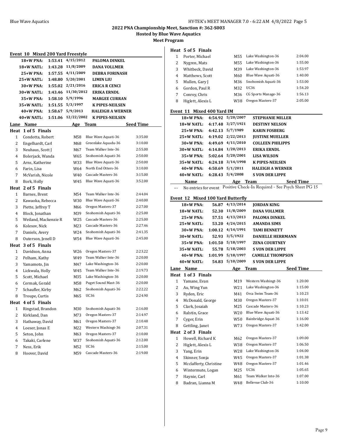**Hosted by Blue Wave Aquatics**

**Meet Program**

| Event 10 Mixed 200 Yard Freestyle |                                    |         |            |                                           |                    |  |  |
|-----------------------------------|------------------------------------|---------|------------|-------------------------------------------|--------------------|--|--|
|                                   | 18+W PNA:                          | 1:53.41 | 4/15/2012  | PALOMA DINKEL                             |                    |  |  |
|                                   | 18+W NATL:                         | 1:43.28 | 11/8/2009  | <b>DANA VOLLMER</b>                       |                    |  |  |
| 25+W PNA:<br>1:57.55              |                                    |         |            | 4/11/2009<br><b>DEBRA FORINASH</b>        |                    |  |  |
|                                   | $25+W$ NATL:                       | 1:48.80 | 5/20/2001  | <b>LIMIN LIU</b>                          |                    |  |  |
|                                   | 30+W PNA:                          | 1:55.02 | 2/21/2016  | <b>ERICA R CENCI</b>                      |                    |  |  |
|                                   | 30+W NATL:                         | 1:43.46 | 11/30/2012 | <b>ERIKA ERNDL</b>                        |                    |  |  |
|                                   | 35+W PNA:                          | 1:58.10 | 5/9/1996   | <b>MARGEE CURRAN</b>                      |                    |  |  |
|                                   | 35+W NATL:                         | 1:51.55 | 5/3/1997   | <b>K PIPES-NEILSEN</b>                    |                    |  |  |
|                                   | 40+W PNA:                          | 1:58.67 | 5/9/2013   | <b>HALEIGH A WERNER</b>                   |                    |  |  |
|                                   | 40+W NATL:                         | 1:51.06 | 12/22/2002 | <b>K PIPES-NEILSEN</b>                    |                    |  |  |
| Lane                              | Name                               |         | Age        | Team                                      | <b>Seed Time</b>   |  |  |
| Heat                              | 1 of 5 Finals                      |         |            |                                           |                    |  |  |
| 1                                 | Condotta, Robert                   |         | M58        | Blue Wave Aquati-36                       | 3:35.00            |  |  |
| 2                                 | Engelhardt, Carl                   |         | M68        | Greenlake Aquadu-36                       | 3:10.00            |  |  |
| 3                                 | Neuhaus, Scott J                   |         | M67        | Team Walker Inte-36                       | 2:55.00            |  |  |
| 4                                 | Bolerjack, Wanda                   |         | W65        | Snohomish Aquati-36                       | 2:50.00            |  |  |
| 5                                 | Arns, Katherine                    |         | W33        | Blue Wave Aquati-36                       | 2:50.00            |  |  |
| 6                                 | Farin, Lisa                        |         | W64        | North End Otters-36                       | 3:10.00            |  |  |
| 7                                 | McVarish, Nicole                   |         | W40        | Cascade Masters-36                        | 3:15.00            |  |  |
| 8                                 | Bork, Holly                        |         | W45        | Blue Wave Aquati-36                       | 3:52.00            |  |  |
| Heat                              | 2 of 5 Finals                      |         |            |                                           |                    |  |  |
| 1                                 | Barnes, Brent                      |         | M54        | Team Walker Inte-36                       | 2:44.04            |  |  |
| 2                                 | Kawaoka, Rebecca                   |         | W30        | Blue Wave Aquati-36                       | 2:40.00            |  |  |
| 3                                 | Piette, Jeffrey T                  |         | M66        | Oregon Masters-37                         | 2:27.00            |  |  |
| 4                                 | Block, Jonathan                    |         | M39        | Snohomish Aquati-36                       | 2:25.00            |  |  |
| 5                                 | Weiland, Mackenzie R               |         | W25        | Cascade Masters-36                        | 2:25.00            |  |  |
| 6                                 | Kolesov, Nick                      |         | M23        | Cascade Masters-36                        | 2:27.46            |  |  |
| 7                                 | Daniels, Avery                     |         | W24        | Snohomish Aquati-36                       | 2:41.35            |  |  |
| 8                                 | Outerson, Jenell D                 |         | W54        | Blue Wave Aquati-36                       | 2:45.00            |  |  |
| Heat                              | 3 of 5 Finals                      |         |            |                                           |                    |  |  |
| 1                                 | Davidson, Anna                     |         | W26        | Oregon Masters-37                         | 2:23.22            |  |  |
| 2                                 | Pelham, Kathy                      |         | W49        | Team Walker Inte-36                       | 2:20.00            |  |  |
| 3                                 | Yamamoto, Jin                      |         | M47        | Lake Washington-36                        | 2:20.00            |  |  |
| 4                                 | Lickwala, Holly                    |         | W45        | Team Walker Inte-36                       | 2:19.73            |  |  |
| 5                                 | Scott, Michael                     |         | M35        | Lake Washington-36<br>Puget Sound Mast-36 | 2:20.00            |  |  |
| 6                                 | Cermak, Gerald                     |         | M58        |                                           | 2:20.00<br>2:22.22 |  |  |
| 7                                 | Schaufler, Kirby                   |         | M62        | Snohomish Aquati-36<br>UC36               | 2:24.90            |  |  |
| 8                                 | Troupe, Curtis                     |         | M65        |                                           |                    |  |  |
| Heat                              | 4 of 5 Finals<br>Ringstad, Brandon |         |            | Snohomish Aquati-36                       |                    |  |  |
| 1                                 |                                    |         | M30        | Oregon Masters-37                         | 2:16.00            |  |  |
| 2<br>3                            | Kirkland, Dan<br>Hathaway, David   |         | M73<br>M61 | Oregon Masters-37                         | 2:14.97<br>2:10.48 |  |  |
| $\overline{4}$                    | Loeser, Jonas E                    |         | M22        | Western Washingt-36                       | 2:07.31            |  |  |
| 5                                 | Seton, John                        |         | M63        | Oregon Masters-37                         | 2:10.00            |  |  |
| 6                                 | Takaki, Carlene                    |         | W37        | Snohomish Aquati-36                       | 2:12.00            |  |  |
| 7                                 | Ness, Erik                         |         | M52        | UC36                                      | 2:15.00            |  |  |
| 8                                 | Hoover, David                      |         | M59        | Cascade Masters-36                        | 2:19.00            |  |  |

### **Heat 5 of 5 Finals**

|    | Porter, Michael   | M55 | Lake Washington-36  | 2:04.00 |
|----|-------------------|-----|---------------------|---------|
|    | Nygren, Mats      | M55 | Lake Washington-36  | 1:55.00 |
| 3  | Whitbeck, David   | M39 | Lake Washington-36  | 1:53.97 |
| 4  | Matthews, Scott   | M60 | Blue Wave Aquati-36 | 1:40.00 |
| 5. | Mullen, Gary J    | M36 | Snohomish Aquati-36 | 1:53.00 |
| 6  | Gordon, Paul R    | M32 | UC36                | 1:54.20 |
|    | Conroy, Chris     | M36 | CG Sports Manage-36 | 1:56.13 |
| 8  | Higlett, Alexis L | W38 | Oregon Masters-37   | 2:05.00 |

### **Event 11 Mixed 400 Yard IM**

| $18+W$ PNA:  |         | 4:54.92 5/20/2007     | <b>STEPHANIE MILLER</b> |
|--------------|---------|-----------------------|-------------------------|
| $18+W$ NATI. |         | 4:17.48 3/27/1921     | <b>DESTINY NELSON</b>   |
| $25+W$ PNA:  |         | 4:42.13 5/7/1989      | <b>KARIN FOSBERG</b>    |
| $25+W$ NATI. |         | 4:19.02 2/22/2013     | <b>JUSTINE MUELLER</b>  |
| $30+W$ PNA:  |         | 4:49.69 4/11/2010     | <b>COLLEEN PHILIPPS</b> |
| $30+W$ NATI. |         | 4:14.84 1/20/2013     | ERIKA ERNDI.            |
| $35+W$ PNA:  |         | $5:02.64$ $5/20/2001$ | LISA WILSON             |
| $35+W$ NATL: | 4:24.18 | 3/14/1998             | <b>K PIPES-NEILSEN</b>  |
| $40+W$ PNA:  | 4:50.69 | 5/1/2011              | <b>HALEIGH A WERNER</b> |
| $40+W$ NATI. | 4:28.43 | 5/4/2008              | <b>SVON DER LIPPE</b>   |
| <b>Name</b>  |         | Age                   | Seed Time<br>Team       |

--- No entries for event

|             | Event 12 Mixed 100 Yard Butterfly |                    |
|-------------|-----------------------------------|--------------------|
| $18+W$ PNA: | 56.87 4/13/2014                   | <b>IORDAN KING</b> |

| <b>DANA VOLLMER</b><br>PALOMA DINKEL<br><b>AMANDA SIMS</b><br><b>TAMI BENNETT</b><br><b>DANIELLE HERRMANN</b><br><b>ZENA COURTNEY</b><br><b>S VON DER LIPPE</b><br><b>CAMILLE THOMPSON</b><br><b>S VON DER LIPPE</b><br><b>Team</b><br>Western Washingt-36<br>Lake Washington-36<br>Orca Swim Team-36<br>Oregon Masters-37<br>Cascade Masters-36<br>Blue Wave Aquati-36<br>Bainbridge Aquat-36<br>Oregon Masters-37<br>Oregon Masters-37<br>Oregon Masters-37<br>Lake Washington-36<br>Oregon Masters-37<br>Oregon Masters-37<br><b>UC36</b><br>Team Walker Inte-36 | <b>Seed Time</b> |
|---------------------------------------------------------------------------------------------------------------------------------------------------------------------------------------------------------------------------------------------------------------------------------------------------------------------------------------------------------------------------------------------------------------------------------------------------------------------------------------------------------------------------------------------------------------------|------------------|
|                                                                                                                                                                                                                                                                                                                                                                                                                                                                                                                                                                     |                  |
|                                                                                                                                                                                                                                                                                                                                                                                                                                                                                                                                                                     |                  |
|                                                                                                                                                                                                                                                                                                                                                                                                                                                                                                                                                                     |                  |
|                                                                                                                                                                                                                                                                                                                                                                                                                                                                                                                                                                     |                  |
|                                                                                                                                                                                                                                                                                                                                                                                                                                                                                                                                                                     |                  |
|                                                                                                                                                                                                                                                                                                                                                                                                                                                                                                                                                                     |                  |
|                                                                                                                                                                                                                                                                                                                                                                                                                                                                                                                                                                     |                  |
|                                                                                                                                                                                                                                                                                                                                                                                                                                                                                                                                                                     |                  |
|                                                                                                                                                                                                                                                                                                                                                                                                                                                                                                                                                                     |                  |
|                                                                                                                                                                                                                                                                                                                                                                                                                                                                                                                                                                     |                  |
|                                                                                                                                                                                                                                                                                                                                                                                                                                                                                                                                                                     |                  |
|                                                                                                                                                                                                                                                                                                                                                                                                                                                                                                                                                                     | 1:20.00          |
|                                                                                                                                                                                                                                                                                                                                                                                                                                                                                                                                                                     | 1:15.00          |
|                                                                                                                                                                                                                                                                                                                                                                                                                                                                                                                                                                     | 1:10.23          |
|                                                                                                                                                                                                                                                                                                                                                                                                                                                                                                                                                                     | 1:10.01          |
|                                                                                                                                                                                                                                                                                                                                                                                                                                                                                                                                                                     | 1:10.23          |
|                                                                                                                                                                                                                                                                                                                                                                                                                                                                                                                                                                     | 1:13.42          |
|                                                                                                                                                                                                                                                                                                                                                                                                                                                                                                                                                                     | 1:16.00          |
|                                                                                                                                                                                                                                                                                                                                                                                                                                                                                                                                                                     | 1:42.00          |
|                                                                                                                                                                                                                                                                                                                                                                                                                                                                                                                                                                     |                  |
|                                                                                                                                                                                                                                                                                                                                                                                                                                                                                                                                                                     | 1:09.00          |
|                                                                                                                                                                                                                                                                                                                                                                                                                                                                                                                                                                     | 1:06.50          |
|                                                                                                                                                                                                                                                                                                                                                                                                                                                                                                                                                                     | 1:04.00          |
|                                                                                                                                                                                                                                                                                                                                                                                                                                                                                                                                                                     | 1:01.38          |
|                                                                                                                                                                                                                                                                                                                                                                                                                                                                                                                                                                     | 1:01.46          |
|                                                                                                                                                                                                                                                                                                                                                                                                                                                                                                                                                                     | 1:05.65          |
|                                                                                                                                                                                                                                                                                                                                                                                                                                                                                                                                                                     | 1:07.00          |
| Bellevue Club-36                                                                                                                                                                                                                                                                                                                                                                                                                                                                                                                                                    | 1:10.00          |
|                                                                                                                                                                                                                                                                                                                                                                                                                                                                                                                                                                     |                  |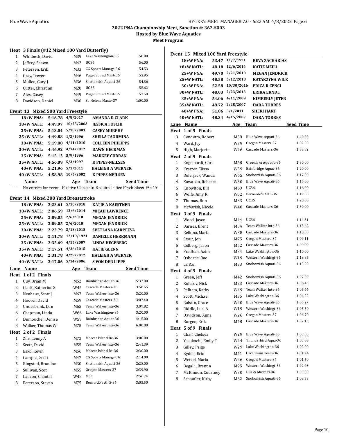**Hosted by Blue Wave Aquatics**

**Meet Program**

|  |  |  | Heat 3 Finals (#12 Mixed 100 Yard Butterfly) |  |
|--|--|--|----------------------------------------------|--|
|  |  |  |                                              |  |

|   | Whitbeck, David   | M39 | Lake Washington-36  | 58.00   |
|---|-------------------|-----|---------------------|---------|
| 2 | Jeffery, Shawn    | M42 | UC36                | 56.00   |
| 3 | Petersen, Erik    | M33 | CG Sports Manage-36 | 54.53   |
| 4 | Gray, Trever      | M46 | Puget Sound Mast-36 | 53.95   |
| 5 | Mullen, Gary J    | M36 | Snohomish Aquati-36 | 54.36   |
| 6 | Cutter, Christian | M20 | UC35                | 55.62   |
|   | Alex, Casey       | M49 | Puget Sound Mast-36 | 57.58   |
| 8 | Davidson, Daniel  | M30 | St Helens Maste-37  | 1:00.00 |

### **Event 13 Mixed 500 Yard Freestyle**

| $18+W$ PNA:  |         | 5:16.78 4/8/2017  | <b>AMANDA R CLARK</b>   |
|--------------|---------|-------------------|-------------------------|
| $18+W$ NATL: | 4:49.97 | 10/25/2003        | <b>JESSICA FOSCHI</b>   |
| $25+W$ PNA:  |         | 5:13.04 5/18/2003 | <b>CASEY MURPHY</b>     |
| $25+W$ NATI. | 4:49.88 | 1/3/1996          | <b>SHEILA TAORMINA</b>  |
| $30+W$ PNA:  |         | 5:19.88 4/11/2010 | <b>COLLEEN PHILIPPS</b> |
| $30+W$ NATI. |         | 4:46.92 4/14/2012 | <b>DAWN HECKMAN</b>     |
| $35+W$ PNA:  |         | 5:15.13 5/9/1996  | <b>MARGEE CURRAN</b>    |
| $35+W$ NATI: | 4:56.09 | 5/3/1997          | <b>K PIPES-NEILSEN</b>  |
| $40+W$ PNA:  |         | 5:21.96 5/1/2011  | <b>HALEIGH A WERNER</b> |
| $40+W$ NATI. | 4:58.98 | 10/5/2002         | <b>K PIPES-NEILSEN</b>  |
| Name         |         | Age               | Seed Time<br>Team       |

--- No entries for event Positive Check-In Required - See Psych Sheet PG 15

### **Event 14 Mixed 200 Yard Breaststroke**

|                | 18+W PNA:          | 2:23.61 | 5/10/2018  | <b>KATIE A KAESTNER</b>  |                  |
|----------------|--------------------|---------|------------|--------------------------|------------------|
|                | 18+W NATL:         | 2:06.59 | 12/6/2014  | <b>MICAH LAWRENCE</b>    |                  |
|                | $25+W$ PNA:        | 2:09.05 | 2/6/2010   | <b>MEGAN JENDRICK</b>    |                  |
|                | 25+W NATL:         | 2:09.05 | 2/6/2010   | <b>MEGAN JENDRICK</b>    |                  |
|                | $30+W$ PNA:        | 2:23.79 | 3/18/2018  | <b>SVETLANA KARPEEVA</b> |                  |
|                | 30+W NATL:         | 2:11.78 | 12/19/1921 | <b>DANIELLE HERRMANN</b> |                  |
|                | $35+W$ PNA:        | 2:35.69 | 4/15/2007  | <b>LINDA HEGEBERG</b>    |                  |
|                | 35+W NATL:         | 2:17.51 | 4/26/2015  | <b>KATIE GLENN</b>       |                  |
|                | 40+W PNA:          | 2:31.78 | 4/29/2012  | <b>HALEIGH A WERNER</b>  |                  |
|                | 40+W NATL:         | 2:17.06 | 5/14/2006  | <b>S VON DER LIPPE</b>   |                  |
| Lane           | Name               |         | Age        | Team                     | <b>Seed Time</b> |
| Heat           | 1 of 2 Finals      |         |            |                          |                  |
| $\mathbf{1}$   | Guy, Brian M       |         | M52        | Bainbridge Aquat-36      | 5:37.00          |
| $\overline{2}$ | Clark, Katherine S |         | W45        | Cascade Masters-36       | 3:50.55          |
| 3              | Neuhaus, Scott J   |         | M67        | Team Walker Inte-36      | 3:20.00          |
| 4              | Hoover, David      |         | M59        | Cascade Masters-36       | 3:07.40          |
| 5              | Underbrink, Dan    |         | M65        | Team Walker Inte-36      | 3:09.82          |
| 6              | Chapman, Linda     |         | W66        | Lake Washington-36       | 3:20.00          |
| 7              | Dumouchel, Denise  |         | W59        | Bainbridge Aquat-36      | 4:15.00          |
| 8              | Walker, Thomas W   |         | M75        | Team Walker Inte-36      | 6:00.00          |
| Heat           | 2 of 2 Finals      |         |            |                          |                  |
| $\mathbf{1}$   | Zilz, Lenny A      |         | M72        | Mercer Island Be-36      | 3:00.00          |
| $\overline{2}$ | Scott, David       |         | M55        | Team Walker Inte-36      | 2:41.39          |
| 3              | Esko, Kevin        |         | M56        | Mercer Island Re-36      | 2:30.00          |
| 4              | Campea, Scott      |         | M47        | CG Sports Manage-36      | 2:14.00          |
| 5              | Ringstad, Brandon  |         | M30        | Snohomish Aquati-36      | 2:28.00          |
| 6              | Sullivan, Scot     |         | M55        | Oregon Masters-37        | 2:39.90          |
| 7              | Lauzon, Chantal    |         | W48        | <b>MSC</b>               | 2:56.74          |
| 8              | Peterson, Steven   |         | M75        | Bernardo's All S-36      | 3:05.50          |
|                |                    |         |            |                          |                  |

|              | Event 15 Mixed 100 Yard Freestyle |       |                 |                       |                  |
|--------------|-----------------------------------|-------|-----------------|-----------------------|------------------|
|              | 18+W PNA:                         | 53.47 | 11/7/1921       | <b>REVA ZACHARIAS</b> |                  |
|              | 18+W NATL:                        | 48.18 | 12/6/2014       | <b>KATIE MEILI</b>    |                  |
|              | 25+W PNA:                         | 49.70 | 2/21/2010       | <b>MEGAN JENDRICK</b> |                  |
|              | 25+W NATL:                        | 48.58 | 5/12/2018       | <b>KATARZYNA WILK</b> |                  |
|              | 30+W PNA:                         | 52.58 | 10/30/2016      | <b>ERICA R CENCI</b>  |                  |
|              | 30+W NATL:                        | 48.03 | 2/23/2013       | <b>ERIKA ERNDL</b>    |                  |
|              | 35+W PNA:                         |       | 54.06 4/11/2009 | <b>KIMBERLY JETER</b> |                  |
|              | 35+W NATL:                        | 49.72 | 2/25/2007       | <b>DARA TORRES</b>    |                  |
|              | 40+W PNA:                         | 51.86 | 5/1/2011        | <b>SHERI HART</b>     |                  |
|              | 40+W NATL:                        | 48.34 | 4/15/2007       | <b>DARA TORRES</b>    |                  |
| Lane         | Name                              |       | Age             | <b>Team</b>           | <b>Seed Time</b> |
|              | Heat 1 of 9 Finals                |       |                 |                       |                  |
| 3            | Condotta, Robert                  |       | M58             | Blue Wave Aquati-36   | 1:40.00          |
| 4            | Ward, Joy                         |       | W79             | Oregon Masters-37     | 1:32.00          |
| 5            | High, Marjorie                    |       | W46             | Cascade Masters-36    | 1:33.82          |
|              | Heat 2 of 9 Finals                |       |                 |                       |                  |
| 1            | Engelhardt, Carl                  |       | M68             | Greenlake Aquadu-36   | 1:30.00          |
| 2            | Kratzer, Elissa                   |       | W59             | Bainbridge Aquat-36   | 1:20.00          |
| 3            | Bolerjack, Wanda                  |       | W65             | Snohomish Aquati-36   | 1:17.00          |
| 4            | Kawaoka, Rebecca                  |       | W30             | Blue Wave Aquati-36   | 1:15.00          |
| 5            | Knowlton, Bill                    |       | M69             | UC36                  | 1:16.00          |
| 6            | Wolfe, Amy R                      |       | W52             | Bernardo's All S-36   | 1:19.00          |
| 7            | Thomas, Ben                       |       | M33             | UC36                  | 1:20.00          |
| 8            | McVarish, Nicole                  |       | W40             | Cascade Masters-36    | 1:30.00          |
| Heat         | 3 of 9 Finals                     |       |                 |                       |                  |
| 1            | Wood, Jason                       |       | M44             | UC36                  | 1:14.31          |
| 2            | Barnes, Brent                     |       | M54             | Team Walker Inte-36   | 1:13.62          |
| 3            | Belkina, Maria                    |       | W38             | Cascade Masters-36    | 1:10.00          |
| 4            | Stout, Jon                        |       | M75             | Oregon Masters-37     | 1:09.11          |
| 5            | Colberg, Jason                    |       | M52             | Cascade Masters-36    | 1:09.99          |
| 6            | Pradhan, Azim                     |       | M34             | Lake Washington-36    | 1:10.00          |
| 7            | Osborne, Rae                      |       | W19             | Western Washingt-36   | 1:13.85          |
| 8            | Li, Ran                           |       | M33             | Snohomish Aquati-36   | 1:15.00          |
| Heat         | 4 of 9 Finals                     |       |                 |                       |                  |
| 1            | Green, Jeff                       |       | M42             | Snohomish Aquati-36   | 1:07.00          |
| 2            | Kolesov, Nick                     |       | M23             | Cascade Masters-36    | 1:06.45          |
| 3            | Pelham, Kathy                     |       | W49             | Team Walker Inte-36   | 1:05.46          |
| 4            | Scott, Michael                    |       | M35             | Lake Washington-36    | 1:04.22          |
| 5            | Ralstin, Grace                    |       | W20             | Blue Wave Aquati-36   | 1:05.27          |
| 6            | Riddle, Luci A                    |       | W19             | Western Washingt-36   | 1:05.50          |
| 7            | Davidson, Anna                    |       | W26             | Oregon Masters-37     | 1:06.79          |
| 8            | Borgen, Erik                      |       | M48             | Cascade Masters-36    | 1:07.13          |
| Heat         | 5 of 9 Finals                     |       |                 |                       |                  |
| $\mathbf{1}$ | Chan, Chelsea                     |       | W29             | Blue Wave Aquati-36   | 1:03.00          |
| 2            | Yasukochi, Emily T                |       | W44             | Thunderbird Aqua-36   | 1:03.00          |
| 3            | Gilley, Paige                     |       | W29             | Lake Washington-36    | 1:02.00          |
| 4            | Ryden, Eric                       |       | M41             | Orca Swim Team-36     | 1:01.24          |
| 5            | Wetzel, Maria                     |       | W26             | Oregon Masters-37     | 1:01.50          |
| 6            | Begalli, Brent A                  |       | M25             | Western Washingt-36   | 1:02.03          |
| 7            | McKinnon, Courtney                |       | W30             | Husky Masters-36      | 1:03.00          |
| 8            | Schaufler, Kirby                  |       | M62             | Snohomish Aquati-36   | 1:03.33          |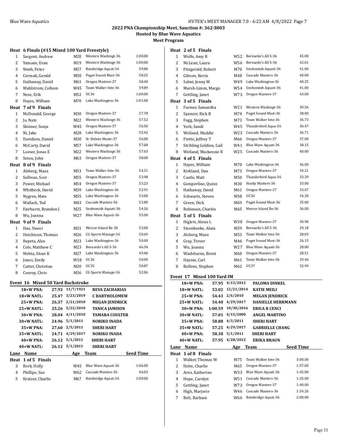**Hosted by Blue Wave Aquatics**

**Meet Program**

### **Heat 6 Finals (#15 Mixed 100 Yard Freestyle)**

| 1            | Sargent, Andrew      | M20 | Western Washingt-36 | 1:00.00 |
|--------------|----------------------|-----|---------------------|---------|
| 2            | Yamane, Evan         | M19 | Western Washingt-36 | 1:00.00 |
| 3            | Nimb, Peter          | M57 | Bainbridge Aquat-36 | 59.80   |
| 4            | Cermak, Gerald       | M58 | Puget Sound Mast-36 | 58.25   |
| 5            | Hathaway, David      | M61 | Oregon Masters-37   | 58.40   |
| 6            | Wahlstrom, Colleen   | W45 | Team Walker Inte-36 | 59.89   |
| 7            | Ness, Erik           | M52 | UC36                | 1:00.00 |
| 8            | Hayes, William       | M70 | Lake Washington-36  | 1:01.00 |
| Heat         | 7 of 9 Finals        |     |                     |         |
| $\mathbf{1}$ | McDonald, George     | M30 | Oregon Masters-37   | 57.78   |
| 2            | Jo, Nate             | M22 | Western Washingt-36 | 57.52   |
| 3            | Skinner, Sonja       | W45 | Oregon Masters-37   | 56.50   |
| 4            | Ni, Jake             | M28 | Lake Washington-36  | 55.42   |
| 5            | Davidson, Daniel     | M30 | St Helens Maste-37  | 56.00   |
| 6            | McCarty, David       | M57 | Lake Washington-36  | 57.00   |
| 7            | Loeser, Jonas E      | M22 | Western Washingt-36 | 57.63   |
| 8            | Seton, John          | M63 | Oregon Masters-37   | 58.00   |
| Heat         | 8 of 9 Finals        |     |                     |         |
| $\mathbf{1}$ | Alsberg, Maoz        | M53 | Team Walker Inte-36 | 54.31   |
| 2            | Sullivan, Scot       | M55 | Oregon Masters-37   | 53.98   |
| 3            | Power, Michael       | M54 | Oregon Masters-37   | 53.23   |
| 4            | Whitbeck, David      | M39 | Lake Washington-36  | 52.91   |
| 5            | Nygren, Mats         | M55 | Lake Washington-36  | 53.00   |
| 6            | Wallach, Ted         | M43 | Cascade Masters-36  | 53.80   |
| 7            | Fairhurst, Brandon J | M25 | Snohomish Aquati-36 | 54.26   |
| 8            | Wu, Joanna           | W27 | Blue Wave Aquati-36 | 55.00   |
| Heat         | 9 of 9 Finals        |     |                     |         |
| $\mathbf{1}$ | Hao, Yawei           | M31 | Mercer Island Re-36 | 52.00   |
| 2            | Hutchison, Thomas    | M26 | CG Sports Manage-36 | 50.69   |
| 3            | Repeta, Alex         | M23 | Lake Washington-36  | 50.00   |
| 4            | Cole, Matthew C      | M23 | Bernardo's All S-36 | 46.34   |
| 5            | Mehta, Sivan K       | M27 | Lake Washington-36  | 49.40   |
| 6            | Jones, Emily         | W18 | UC36                | 50.00   |
| 7            | Cutter, Christian    | M20 | <b>UC35</b>         | 50.87   |
| 8            | Conroy, Chris        | M36 | CG Sports Manage-36 | 52.06   |
|              |                      |     |                     |         |

### **Event 16 Mixed 50 Yard Backstroke**

|      | $18+W$ PNA:        | 27.93 | 11/7/1921 | <b>REVA ZACHARIAS</b> |                  |
|------|--------------------|-------|-----------|-----------------------|------------------|
|      | $18+W$ NATL:       | 25.47 | 3/23/2019 | <b>C BARTHOLOMEW</b>  |                  |
|      | $25+W$ PNA:        | 26.37 | 2/21/2010 | <b>MEGAN JENDRICK</b> |                  |
|      | $25+W$ NATL:       | 25.26 | 5/22/2010 | <b>TANICA JAMISON</b> |                  |
|      | 30+W PNA:          | 28.04 | 4/11/2010 | TAMARA COULTER        |                  |
|      | $30+W$ NATL:       | 24.96 | 5/1/2011  | <b>NORIKO INADA</b>   |                  |
|      | $35+W$ PNA:        | 27.60 | 2/5/2011  | <b>SHERI HART</b>     |                  |
|      | $35+W$ NATL:       | 24.71 | 4/29/2017 | <b>NORIKO INADA</b>   |                  |
|      | $40+W$ PNA:        | 26.12 | 5/1/2011  | <b>SHERI HART</b>     |                  |
|      | $40+W$ NATL:       | 26.12 | 5/1/2011  | <b>SHERI HART</b>     |                  |
| Lane | Name               |       | Age       | Team                  | <b>Seed Time</b> |
|      | Heat 1 of 5 Finals |       |           |                       |                  |
| 3    | Bork, Holly        |       | W45       | Blue Wave Aquati-36   | 1:06.00          |
| 4    | Phillips, Sue      |       | W62       | Cascade Masters-36    | 46.03            |
| 5    | Kratzer, Charlie   |       | M67       | Bainbridge Aquat-36   | 1:00.00          |

|  |  | Heat 2 of 5 Finals |
|--|--|--------------------|
|--|--|--------------------|

| 5<br>6       | Gettling, Janet<br>High, Marjorie | W73<br>W46      | Oregon Masters-37<br>Cascade Masters-36   | 1:40.00<br>1:54.26 |
|--------------|-----------------------------------|-----------------|-------------------------------------------|--------------------|
|              |                                   |                 |                                           |                    |
| 4            | Hope, Carolyn                     | W51             | Cascade Masters-36                        | 1:35.00            |
| 3            | Arns, Katherine                   | W33             | Blue Wave Aquati-36                       | 1:45.00            |
| 2            | Helm, Charlie                     | M65             | Oregon Masters-37                         | 1:57.00            |
| 1            | Walker, Thomas W                  | M75             |                                           |                    |
| Heat         | 1 of 8 Finals                     |                 | Team Walker Inte-36                       | 3:00.00            |
|              | <u>Lane Name</u>                  | Age __          | Team                                      | <b>Seed Time</b>   |
|              |                                   |                 |                                           |                    |
|              | 40+W NATL:<br>57.95               | 4/28/2012       | <b>ERIKA BRAUN</b>                        |                    |
|              | 40+W PNA:<br>58.38                | 5/1/2011        | <b>SHERI HART</b>                         |                    |
|              | 35+W NATL:<br>57.25               | 4/29/2017       | <b>GABRIELLE CHANG</b>                    |                    |
|              | 35+W PNA:<br>58.88                | 4/3/2011        | <b>SHERI HART</b>                         |                    |
|              | 30+W NATL:<br>57.01               | 4/15/2000       | <b>ANGEL MARTINO</b>                      |                    |
|              | 1:00.59<br>30+W PNA:              | 10/30/2016      | DANIELLE HERRMANN<br><b>ERICA R CENCI</b> |                    |
|              | 25+W NATL:<br>54.40               | 4/29/2017       |                                           |                    |
|              | 25+W PNA:<br>54.43                | 2/6/2010        | <b>MEGAN JENDRICK</b>                     |                    |
|              | 18+W NATL:<br>53.02               | 12/21/2014      | <b>KATIE MEILI</b>                        |                    |
|              | 18+W PNA:<br>57.95                | 4/15/2012       | <b>PALOMA DINKEL</b>                      |                    |
|              | Event 17 Mixed 100 Yard IM        |                 |                                           |                    |
| 8            | Bollens, Stephen                  | M62             | UC37                                      | 32.99              |
| 7            | Haynie, Carl                      | M61             | Team Walker Inte-36                       | 29.46              |
| 6            | Washburne, Brent                  | M60             | Oregon Masters-37                         | 28.51              |
| 5            | Wu, Joanna                        | W27             | Blue Wave Aquati-36                       | 28.00              |
| 4            | Gray, Trever                      | M46             | Puget Sound Mast-36                       | 26.15              |
| 3            | Alsberg, Maoz                     | M53             | Team Walker Inte-36                       | 28.03              |
| 2            | Steenbeeke, Alain                 | M59             | Bernardo's All S-36                       | 29.18              |
| $\mathbf{1}$ | Higlett, Alexis L                 | W38             | Oregon Masters-37                         | 30.90              |
| Heat         | 5 of 5 Finals                     |                 |                                           |                    |
| 8            | Robinson, Charles                 | M65             | Mercer Island Be-36                       | 36.00              |
| 7            | Green, Dick                       | M69             | Puget Sound Mast-36                       | 35.00              |
| 6            | Schwartz, Steven                  | M58             | UC36                                      | 34.20              |
| 5            | Hathaway, David                   | M61             | Oregon Masters-37                         | 33.07              |
| 4            | Gemperline, Quinn                 | M30             | Husky Masters-36                          | 33.00              |
| 3            | Castle, Matt                      | M50             | Thunderbird Aqua-36                       | 33.39              |
| 2            | Kirkland, Dan                     | M73             | Oregon Masters-37                         | 34.21              |
| 1            | Hayes, William                    | M70             | Lake Washington-36                        | 36.00              |
| Heat         | 4 of 5 Finals                     |                 |                                           |                    |
| 8            | Weiland, Mackenzie R              | W25             | Cascade Masters-36                        | 40.00              |
| 7            | Stribling Geldien, Gail           | W41             | Blue Wave Aquati-36                       | 38.15              |
| 6            | Piette, Jeffrey T                 | M66             | Oregon Masters-37                         | 37.00              |
| 5            | Weiland, Maddie                   | W <sub>23</sub> | Cascade Masters-36                        | 36.71              |
| 4            | York, Sandi                       | W45             | Thunderbird Aqua-36                       | 36.47              |
| 3            | Fogg, Stephen                     | M73             | Team Walker Inte-36                       | 36.73              |
| 2            | Spencer, Rick R                   | M74             | Puget Sound Mast-36                       | 38.00              |
| $\mathbf{1}$ | Farmer, Samantha                  | W21             | Western Washingt-36                       | 39.56              |
| Heat         | 3 of 5 Finals                     |                 |                                           |                    |
| 7            | Gettling, Janet                   | W73             | Oregon Masters-37                         | 43.00              |
| 6            | Marsh-Limm, Margo                 | W54             | Snohomish Aquati-36                       | 41.00              |
| 5            | Salmi, Jenny M                    | W49             | Lake Washington-36                        | 40.25              |
| 4            | Gibson, Kevin                     | M48             | Cascade Masters-36                        | 40.00              |
| 3            | Fitzgerald, Robert                | M70             | Snohomish Aquati-36                       | 41.00              |
| 2            | McLean, Laura                     | W56             | Bernardo's All S-36                       | 42.01              |
| 1            | Wolfe, Amy R                      | W52             | Bernardo's All S-36                       | 45.00              |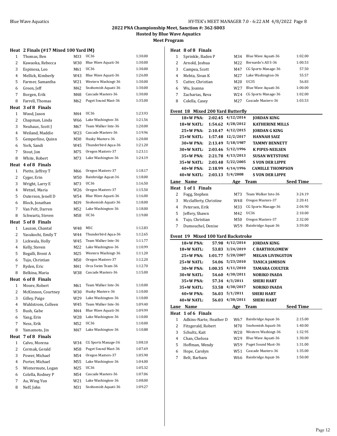**Hosted by Blue Wave Aquatics**

**Meet Program**

### **Heat 2 Finals (#17 Mixed 100 Yard IM)**

| 1              | Thomas, Ben        | M33 | UC36                | 1:30.00 |
|----------------|--------------------|-----|---------------------|---------|
| 2              | Kawaoka, Rebecca   | W30 | Blue Wave Aquati-36 | 1:30.00 |
| 3              | Espinosa, Leo      | M61 | UC36                | 1:30.00 |
| 4              | Mellick, Kimberly  | W43 | Blue Wave Aquati-36 | 1:26.00 |
| 5              | Farmer, Samantha   | W21 | Western Washingt-36 | 1:30.00 |
| 6              | Green, Jeff        | M42 | Snohomish Aquati-36 | 1:30.00 |
| 7              | Borgen, Erik       | M48 | Cascade Masters-36  | 1:30.00 |
| 8              | Farrell, Thomas    | M62 | Puget Sound Mast-36 | 1:35.00 |
| Heat           | 3 of 8 Finals      |     |                     |         |
| $\mathbf{1}$   | Wood, Jason        | M44 | <b>UC36</b>         | 1:23.93 |
| 2              | Chapman, Linda     | W66 | Lake Washington-36  | 1:21.56 |
| 3              | Neuhaus, Scott J   | M67 | Team Walker Inte-36 | 1:20.00 |
| 4              | Weiland, Maddie    | W23 | Cascade Masters-36  | 1:19.96 |
| 5              | Gemperline, Quinn  | M30 | Husky Masters-36    | 1:20.00 |
| 6              | York, Sandi        | W45 | Thunderbird Aqua-36 | 1:21.20 |
| 7              | Stout, Jon         | M75 | Oregon Masters-37   | 1:23.11 |
| 8              | White, Robert      | M73 | Lake Washington-36  | 1:24.19 |
| Heat           | 4 of 8 Finals      |     |                     |         |
| $\mathbf{1}$   | Piette, Jeffrey T  | M66 | Oregon Masters-37   | 1:18.17 |
| 2              | Cyger, Erin        | W50 | Bainbridge Aquat-36 | 1:18.00 |
| 3              | Wright, Larry E    | M73 | <b>UC36</b>         | 1:16.50 |
| 4              | Wetzel, Maria      | W26 | Oregon Masters-37   | 1:15.50 |
| 5              | Outerson, Jenell D | W54 | Blue Wave Aquati-36 | 1:16.00 |
| 6              | Block, Jonathan    | M39 | Snohomish Aquati-36 | 1:18.00 |
| 7              | Van Pelt, Darren   | M52 | Lake Washington-36  | 1:18.00 |
| 8              | Schwartz, Steven   | M58 | UC36                | 1:19.00 |
|                | Heat 5 of 8 Finals |     |                     |         |
| $\mathbf{1}$   | Lauzon, Chantal    | W48 | MSC                 | 1:12.83 |
| 2              | Yasukochi, Emily T | W44 | Thunderbird Aqua-36 | 1:12.65 |
| 3              | Lickwala, Holly    | W45 | Team Walker Inte-36 | 1:11.77 |
| 4              | Kelly, Steven      | M22 | Lake Washington-36  | 1:10.99 |
| 5              | Begalli, Brent A   | M25 | Western Washingt-36 | 1:11.20 |
| 6              | Tujo, Christian    | M50 | Oregon Masters-37   | 1:12.20 |
| 7              | Ryden, Eric        | M41 | Orca Swim Team-36   | 1:12.70 |
| 8              | Belkina, Maria     | W38 | Cascade Masters-36  | 1:15.00 |
|                | Heat 6 of 8 Finals |     |                     |         |
| $\mathbf{1}$   | Moore, Robert      | M61 | Team Walker Inte-36 | 1:10.00 |
| 2              | McKinnon, Courtney | W30 | Husky Masters-36    | 1:10.00 |
| 3              | Gilley, Paige      | W29 | Lake Washington-36  | 1:10.00 |
| 4              | Wahlstrom, Colleen | W45 | Team Walker Inte-36 | 1:09.40 |
| 5              | Bush, Gabe         | M44 | Blue Wave Aquati-36 | 1:09.99 |
| 6              | Yang, Erin         | W28 | Lake Washington-36  | 1:10.00 |
| 7              | Ness, Erik         | M52 | UC36                | 1:10.00 |
| 8              | Yamamoto, Jin      | M47 | Lake Washington-36  | 1:10.88 |
| Heat           | 7 of 8 Finals      |     |                     |         |
| $\mathbf{1}$   | Calvo, Morena      | W34 | CG Sports Manage-36 | 1:08.10 |
| $\overline{c}$ | Cermak, Gerald     | M58 | Puget Sound Mast-36 | 1:07.69 |
| 3              | Power, Michael     | M54 | Oregon Masters-37   | 1:05.90 |
| 4              | Porter, Michael    | M55 | Lake Washington-36  | 1:04.00 |
| 5              | Wintermute, Logan  | M25 | UC36                | 1:05.32 |
| 6              | Colella, Rodney P  | M54 | Cascade Masters-36  | 1:07.06 |
| 7              | Au, Wing Yun       | W21 | Lake Washington-36  | 1:08.00 |
| 8              | Neff, John         | M31 | Snohomish Aquati-36 | 1:09.27 |
|                |                    |     |                     |         |

### **Heat 8 of 8 Finals**

|   | Sprinkle, Baden P | M34             | Blue Wave Aquati-36 | 1:02.00 |
|---|-------------------|-----------------|---------------------|---------|
| 2 | Arnold, Joshua    | M <sub>22</sub> | Bernardo's All S-36 | 1:00.53 |
| 3 | Campea, Scott     | M47             | CG Sports Manage-36 | 57.50   |
| 4 | Mehta, Sivan K    | M <sub>27</sub> | Lake Washington-36  | 55.57   |
| 5 | Cutter, Christian | M20             | UC35                | 56.83   |
| 6 | Wu, Joanna        | W27             | Blue Wave Aquati-36 | 1:00.00 |
|   | Zacharias, Reva   | W24             | CG Sports Manage-36 | 1:02.00 |
| 8 | Colella, Casey    | M27             | Cascade Masters-36  | 1:03.53 |

### **Event 18 Mixed 200 Yard Butterfly**

|      | 18+W PNA:                          | 2:02.45 | 4/12/2014 | <b>JORDAN KING</b>      |                  |
|------|------------------------------------|---------|-----------|-------------------------|------------------|
|      | 18+W NATL:                         | 1:54.62 | 4/28/2012 | <b>KATHERINE MILLS</b>  |                  |
|      | $25+W$ PNA:                        | 2:10.47 | 4/12/2015 | <b>JORDAN G KING</b>    |                  |
|      | $25+W$ NATL:                       | 1:57.48 | 12/2/2017 | <b>HANNAH SAIZ</b>      |                  |
|      | 30+W PNA:                          | 2:13.49 | 5/18/1987 | <b>TAMMY BENNETT</b>    |                  |
|      | $30+W$ NATL:                       | 2:03.46 | 5/12/1996 | <b>K PIPES-NEILSEN</b>  |                  |
|      | $35+W$ PNA:                        | 2:21.78 | 4/13/2013 | <b>SUSAN WETSTONE</b>   |                  |
|      | $35+W$ NATL:                       | 2:03.48 | 5/22/2005 | <b>S VON DER LIPPE</b>  |                  |
|      | $40+W$ PNA:                        | 2:18.99 | 4/14/1996 | <b>CAMILLE THOMPSON</b> |                  |
|      | $40+W$ NATL:                       | 2:03.13 | 5/4/2008  | <b>S VON DER LIPPE</b>  |                  |
| Lane | Name                               |         | Age       | Team                    | <b>Seed Time</b> |
| Heat | 1 of 1 Finals                      |         |           |                         |                  |
| 2    | Fogg, Stephen                      |         | M73       | Team Walker Inte-36     | 3:24.19          |
| 3    | Mcclafferty, Christine             |         | W48       | Oregon Masters-37       | 2:20.41          |
| 4    | Petersen, Erik                     |         | M33       | CG Sports Manage-36     | 2:04.90          |
| 5    | Jeffery, Shawn                     |         | M42       | <b>UC36</b>             | 2:10.00          |
| 6    | Tujo, Christian                    |         | M50       | Oregon Masters-37       | 2:32.00          |
| 7    | Dumouchel, Denise                  |         | W59       | Bainbridge Aquat-36     | 3:59.00          |
|      | Event 19 Mixed 100 Yard Backstroke |         |           |                         |                  |

|      |                         |         | - MACU TOO TULU DUCKJU OKC |                         |                  |
|------|-------------------------|---------|----------------------------|-------------------------|------------------|
|      | 18+W PNA:               | 57.98   | 4/12/2014                  | <b>JORDAN KING</b>      |                  |
|      | 18+W NATL:              | 53.83   | 3/24/2019                  | <b>C BARTHOLOMEW</b>    |                  |
|      | 25+W PNA:               | 1:01.77 | 5/20/2007                  | <b>MEGAN LIVINGSTON</b> |                  |
|      | $25+W$ NATL:            | 54.06   | 5/23/2010                  | TANICA JAMISON          |                  |
|      | 30+W PNA:               | 1:00.35 | 4/11/2010                  | TAMARA COULTER          |                  |
|      | 30+W NATL:              | 54.60   | 4/30/2011                  | <b>NORIKO INADA</b>     |                  |
|      | 35+W PNA:               | 57.34   | 4/3/2011                   | <b>SHERI HART</b>       |                  |
|      | 35+W NATL:              | 53.58   | 4/30/2017                  | <b>NORIKO INADA</b>     |                  |
|      | $40+W$ PNA:             | 56.03   | 5/1/2011                   | <b>SHERI HART</b>       |                  |
|      | $40+W$ NATL:            | 56.03   | 4/30/2011                  | <b>SHERI HART</b>       |                  |
| Lane | Name                    |         | Age                        | Team                    | <b>Seed Time</b> |
| Heat | 1 of 6 Finals           |         |                            |                         |                  |
|      |                         |         |                            |                         |                  |
| 1    | Adkins-Narte, Heather D |         | W67                        | Bainbridge Aquat-36     | 2:15.00          |
| 2    | Fitzgerald, Robert      |         | M70                        | Snohomish Aquati-36     | 1:40.00          |
| 3    | Schultz, Kait           |         | W20                        | Western Washingt-36     | 1:32.95          |
| 4    | Chan, Chelsea           |         | W29                        | Blue Wave Aquati-36     | 1:30.00          |
| 5    | Hoffman, Wendy          |         | W59                        | Puget Sound Mast-36     | 1:31.00          |
| 6    | Hope, Carolyn           |         | W51                        | Cascade Masters-36      | 1:35.00          |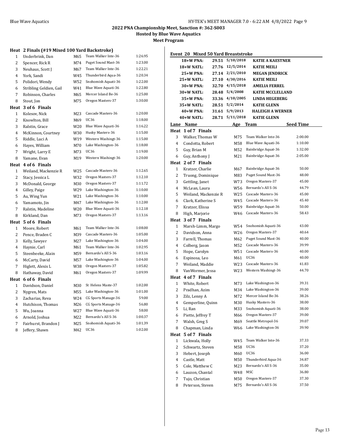**Hosted by Blue Wave Aquatics**

**Meet Program**

### **Heat 2 Finals (#19 Mixed 100 Yard Backstroke)**

| 1              | Underbrink, Dan         | M65 | Team Walker Inte-36 | 1:26.95 |
|----------------|-------------------------|-----|---------------------|---------|
| 2              | Spencer, Rick R         | M74 | Puget Sound Mast-36 | 1:23.00 |
| 3              | Neuhaus, Scott J        | M67 | Team Walker Inte-36 | 1:22.21 |
| 4              | York, Sandi             | W45 | Thunderbird Aqua-36 | 1:20.34 |
| 5              | Polidori, Wendy         | W52 | Snohomish Aquati-36 | 1:22.00 |
| 6              | Stribling Geldien, Gail | W41 | Blue Wave Aquati-36 | 1:22.80 |
| 7              | Robinson, Charles       | M65 | Mercer Island Be-36 | 1:25.00 |
| 8              | Stout, Jon              | M75 | Oregon Masters-37   | 1:30.00 |
| Heat           | 3 of 6 Finals           |     |                     |         |
| $\mathbf{1}$   | Kolesov, Nick           | M23 | Cascade Masters-36  | 1:20.00 |
| 2              | Knowlton, Bill          | M69 | <b>UC36</b>         | 1:18.00 |
| 3              | Ralstin, Grace          | W20 | Blue Wave Aquati-36 | 1:16.22 |
| $\overline{4}$ | McKinnon, Courtney      | W30 | Husky Masters-36    | 1:15.00 |
| 5              | Riddle, Luci A          | W19 | Western Washingt-36 | 1:15.00 |
| 6              | Hayes, William          | M70 | Lake Washington-36  | 1:18.00 |
| 7              | Wright, Larry E         | M73 | UC36                | 1:19.00 |
| 8              | Yamane, Evan            | M19 | Western Washingt-36 | 1:20.00 |
|                | Heat 4 of 6 Finals      |     |                     |         |
| $\mathbf{1}$   | Weiland, Mackenzie R    | W25 | Cascade Masters-36  | 1:12.65 |
| 2              | Stacy, Jessica L        | W32 | Oregon Masters-37   | 1:12.10 |
| 3              | McDonald, George        | M30 | Oregon Masters-37   | 1:11.72 |
| 4              | Gilley, Paige           | W29 | Lake Washington-36  | 1:10.00 |
| 5              | Au, Wing Yun            | W21 | Lake Washington-36  | 1:10.00 |
| 6              | Yamamoto, Jin           | M47 | Lake Washington-36  | 1:12.00 |
| 7              | Ralstin, Madeline       | W20 | Blue Wave Aquati-36 | 1:12.18 |
| 8              | Kirkland, Dan           | M73 | Oregon Masters-37   | 1:13.16 |
| Heat           | 5 of 6 Finals           |     |                     |         |
| $\mathbf{1}$   | Moore, Robert           | M61 | Team Walker Inte-36 | 1:08.00 |
| 2              | Pence, Braden C         | M39 | Cascade Masters-36  | 1:05.00 |
| 3              | Kelly, Sawyer           | M27 | Lake Washington-36  | 1:04.00 |
| $\overline{4}$ | Haynie, Carl            | M61 | Team Walker Inte-36 | 1:02.95 |
| 5              | Steenbeeke, Alain       | M59 | Bernardo's All S-36 | 1:03.16 |
| 6              | McCarty, David          | M57 | Lake Washington-36  | 1:04.00 |
| 7              | Higlett, Alexis L       | W38 | Oregon Masters-37   | 1:05.82 |
| 8              | Hathaway, David         | M61 | Oregon Masters-37   | 1:09.99 |
| Heat           | 6 of 6 Finals           |     |                     |         |
| $\mathbf{1}$   | Davidson, Daniel        | M30 | St Helens Maste-37  | 1:02.00 |
| 2              | Nygren, Mats            | M55 | Lake Washington-36  | 1:01.00 |
| 3              | Zacharias, Reva         | W24 | CG Sports Manage-36 | 59.00   |
| 4              | Hutchison, Thomas       | M26 | CG Sports Manage-36 | 56.80   |
| 5              | Wu, Joanna              | W27 | Blue Wave Aquati-36 | 58.00   |
| 6              | Arnold, Joshua          | M22 | Bernardo's All S-36 | 1:00.37 |
| 7              | Fairhurst, Brandon J    | M25 | Snohomish Aquati-36 | 1:01.39 |
| 8              | Jeffery, Shawn          | M42 | <b>UC36</b>         | 1:02.00 |

|        | Event  20   Mixed 50 Yard Breaststroke |                 |                                            |                |
|--------|----------------------------------------|-----------------|--------------------------------------------|----------------|
|        | 18+W PNA:<br>29.51                     | 5/10/2018       | <b>KATIE A KAESTNER</b>                    |                |
|        | 27.76<br>18+W NATL:                    | 12/5/2014       | <b>KATIE MEILI</b>                         |                |
|        | 25+W PNA:                              | 27.14 2/21/2010 | <b>MEGAN JENDRICK</b>                      |                |
|        | 25+W NATL:                             | 27.10 4/30/2016 | <b>KATIE MEILI</b>                         |                |
|        | 30+W PNA:                              | 32.70 4/15/2018 | <b>AMELIA FERREL</b>                       |                |
|        | 30+W NATL:<br>28.48                    | 5/4/2008        | <b>KATIE MCCLELLAND</b>                    |                |
|        | 35+W PNA:                              | 33.36 4/10/2005 | <b>LINDA HEGEBERG</b>                      |                |
|        | 35+W NATL:<br>28.51                    | 5/2/2014        | <b>KATIE GLENN</b>                         |                |
|        | 40+W PNA:<br>31.61                     | 5/9/2013        | <b>HALEIGH A WERNER</b>                    |                |
|        | 40+W NATL:<br>28.71                    | 5/11/2018       | <b>KATIE GLENN</b>                         |                |
|        | Lane Name                              | Age             | Team                                       | Seed Time      |
|        | Heat 1 of 7 Finals                     |                 |                                            |                |
| 3      | Walker, Thomas W                       | M75             | Team Walker Inte-36                        | 2:00.00        |
| 4      | Condotta, Robert                       | M58             | Blue Wave Aquati-36                        | 1:10.00        |
| 5      | Guy, Brian M                           | M52             | Bainbridge Aquat-36                        | 1:32.00        |
| 6      | Guy, Anthony J                         | M21             | Bainbridge Aquat-36                        | 2:05.00        |
|        | Heat 2 of 7 Finals                     |                 |                                            |                |
| 1      | Kratzer, Charlie                       | M67             | Bainbridge Aquat-36                        | 50.00          |
| 2      | Truong, Dominique                      | M83             | Puget Sound Mast-36                        | 48.00          |
| 3      | Gettling, Janet                        | W73             | Oregon Masters-37                          | 45.00          |
| 4      | McLean, Laura                          | W56             | Bernardo's All S-36                        | 44.79          |
| 5      | Weiland, Mackenzie R                   | W25             | Cascade Masters-36                         | 45.00          |
| 6      | Clark, Katherine S                     | W45             | Cascade Masters-36                         | 45.40          |
| 7      | Kratzer, Elissa                        | W59             | Bainbridge Aquat-36                        | 50.00          |
| 8      | High, Marjorie                         | W46             | Cascade Masters-36                         | 58.43          |
| Heat   | 3 of 7 Finals                          |                 |                                            |                |
| 1      | Marsh-Limm, Margo                      | W54             | Snohomish Aquati-36                        | 43.00          |
| 2      | Davidson, Anna                         | W26             | Oregon Masters-37                          | 40.64          |
| 3      | Farrell, Thomas                        | M62             | Puget Sound Mast-36                        | 40.00          |
| 4      | Colberg, Jason                         | M52             | Cascade Masters-36                         | 39.99          |
| 5      | Hope, Carolyn                          | W51             | Cascade Masters-36                         | 40.00          |
| 6      | Espinosa, Leo                          | M61             | UC36                                       | 40.00          |
| 7      | Weiland, Maddie                        | W23             | Cascade Masters-36                         | 41.83          |
| 8      | VanWormer, Jessa                       | W23             | Western Washingt-36                        | 44.70          |
|        | Heat 4 of 7 Finals                     |                 |                                            |                |
| 1      | White, Robert                          | M73             | Lake Washington-36                         | 39.31          |
| 2      | Pradhan, Azim                          | M34             | Lake Washington-36                         | 39.00          |
| 3      | Zilz, Lenny A                          | M72             | Mercer Island Be-36                        | 38.26          |
| 4      | Gemperline, Quinn                      | M30             | Husky Masters-36                           | 38.00          |
| 5      | Li, Ran                                | M33             | Snohomish Aquati-36                        | 38.00          |
| 6      | Piette, Jeffrey T                      | M66             | Oregon Masters-37                          | 39.00          |
| 7      | Walsh, Greg S                          | M69             | Seattle Metropol-36                        | 39.07          |
| 8      | Chapman, Linda                         | W66             | Lake Washington-36                         | 39.90          |
| Heat   | 5 of 7 Finals                          |                 |                                            |                |
| 1      | Lickwala, Holly                        | W45             | Team Walker Inte-36                        | 37.33          |
| 2      | Schwartz, Steven                       | M58             | UC36                                       | 37.20          |
| 3      | Hebert, Joseph                         | M60             | <b>UC36</b>                                | 36.00          |
| 4      | Castle, Matt                           | M50             | Thunderbird Aqua-36<br>Bernardo's All S-36 | 34.87          |
| 5      | Cole, Matthew C                        | M23             | MSC                                        | 35.00          |
| 6      | Lauzon, Chantal<br>Tujo, Christian     | W48             | Oregon Masters-37                          | 36.80<br>37.30 |
| 7<br>8 | Peterson, Steven                       | M50<br>M75      | Bernardo's All S-36                        | 37.50          |
|        |                                        |                 |                                            |                |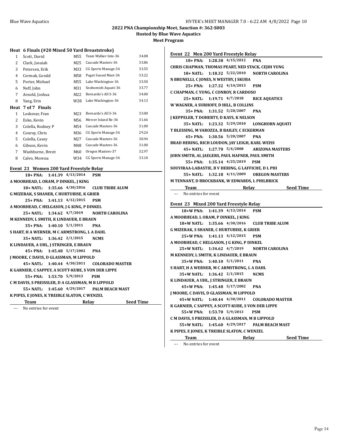**Hosted by Blue Wave Aquatics**

**Meet Program**

### **Heat 6 Finals (#20 Mixed 50 Yard Breaststroke)**

| 1    | Scott, David      | M55 | Team Walker Inte-36 | 34.08 |
|------|-------------------|-----|---------------------|-------|
| 2    | Clark, Josaiah    | M25 | Cascade Masters-36  | 33.86 |
| 3    | Petersen, Erik    | M33 | CG Sports Manage-36 | 33.55 |
| 4    | Cermak, Gerald    | M58 | Puget Sound Mast-36 | 33.22 |
| 5    | Porter, Michael   | M55 | Lake Washington-36  | 33.50 |
| 6    | Neff, John        | M31 | Snohomish Aquati-36 | 33.77 |
| 7    | Arnold, Joshua    | M22 | Bernardo's All S-36 | 34.00 |
| 8    | Yang, Erin        | W28 | Lake Washington-36  | 34.13 |
| Heat | 7 of 7 Finals     |     |                     |       |
| 1    | Leskovar, Fran    | M23 | Bernardo's All S-36 | 33.00 |
|      |                   |     |                     |       |
| 2    | Esko, Kevin       | M56 | Mercer Island Re-36 | 31.66 |
| 3    | Colella, Rodney P | M54 | Cascade Masters-36  | 31.00 |
| 4    | Conroy, Chris     | M36 | CG Sports Manage-36 | 29.24 |
| 5    | Colella, Casey    | M27 | Cascade Masters-36  | 30.94 |
| 6    | Gibson, Kevin     | M48 | Cascade Masters-36  | 31.00 |
| 7    | Washburne, Brent  | M60 | Oregon Masters-37   | 32.97 |
| 8    | Calvo, Morena     | W34 | CG Sports Manage-36 | 33.10 |

### **Event 21 Women 200 Yard Freestyle Relay**

| Team                                               |  | Relay                           |                                             | <b>Seed Time</b> |  |
|----------------------------------------------------|--|---------------------------------|---------------------------------------------|------------------|--|
| K PIPES, E JONES, K TREIBLE SLATON, C WENZEL       |  |                                 |                                             |                  |  |
|                                                    |  |                                 | 55+ NATL: 1:45.60 4/29/2017 PALM BEACH MAST |                  |  |
| C M DAVIS, S PREISSLER, D A GLASSMAN, M B LIPPOLD  |  |                                 |                                             |                  |  |
|                                                    |  | 55+ PNA: 1:53.70 5/9/2013 PSM   |                                             |                  |  |
| K GARNIER, C SAPPEY, A SCOTT-KUBE, S VON DER LIPPE |  |                                 |                                             |                  |  |
|                                                    |  |                                 | 45+ NATL: 1:40.44 4/30/2011 COLORADO MASTER |                  |  |
| <b>J MOORE, C DAVIS, D GLASSMAN, M LIPPOLD</b>     |  |                                 |                                             |                  |  |
|                                                    |  | 45+ PNA: 1:45.48 5/17/2002      | <b>PNA</b>                                  |                  |  |
| K LINDAUER, A UHL, J STRINGER, E BRAUN             |  |                                 |                                             |                  |  |
|                                                    |  | 35+ NATL: 1:36.42 2/1/2015 NCMS |                                             |                  |  |
| S HART, H A WERNER, M C ARMSTRONG, L A DAHL        |  |                                 |                                             |                  |  |
|                                                    |  | $35+$ PNA: 1:40.10 $5/1/2011$   | <b>PNA</b>                                  |                  |  |
| M KENNEDY, L SMITH, K LINDAUER, E BRAUN            |  |                                 |                                             |                  |  |
|                                                    |  |                                 | 25+ NATL: 1:34.62 4/7/2019 NORTH CAROLINA   |                  |  |
| A MOORHEAD, C HELGASON, J G KING, P DINKEL         |  |                                 |                                             |                  |  |
|                                                    |  | 25+ PNA: 1:41.13 4/12/2015      | <b>PSM</b>                                  |                  |  |
| <b>G MIZERAK, S SHANER, C HURTUBISE, K GRIER</b>   |  |                                 |                                             |                  |  |
|                                                    |  | 18+ NATL: 1:35.66 4/30/2016     | <b>CLUB TRIBE ALUM</b>                      |                  |  |
| A MOORHEAD, L ORAM, P DINKEL, J KING               |  |                                 |                                             |                  |  |
|                                                    |  | 18+ PNA: 1:41.39 4/13/2014 PSM  |                                             |                  |  |

--- No entries for event

| 18+ PNA: 1:28.38 4/15/2012<br><b>PNA</b><br>CHRIS CHAPMAN, THOMAS PEART, NED STACK, CEJIH YUNG<br>18+ NATL: 1:18.32 5/22/2010 NORTH CAROLINA<br>N BRUNELLI, C JONES, N WESTBY, J SKUBA<br>25+ PNA: 1:27.32 4/14/2013<br>PSM<br>C CHAPMAN, C YUNG, C CONROY, R CARDOSO<br>25+ NATL: 1:19.71 4/7/2018<br><b>RICE AQUATICS</b><br>W WAGNER, A SURHOFF, D HILL, B COLLINS<br>35+ PNA: 1:31.52 5/20/2007<br><b>PNA</b><br>J KEPPELER, T DOHERTY, D KAYS, K NELSON<br>35+ NATL: 1:23.32 5/29/2010 LONGHORN AQUATI<br>T BLESSING, M VAROZZA, B BAILEY, C ECKERMAN<br>45+ PNA: 1:30.56 5/20/2007 PNA<br>BRAD HERING, RICH LOUDON, JAY LEIGH, KARL WEISS<br>45+ NATL: 1:27.70 5/4/2008 ARIZONA MASTERS<br>JOHN SMITH, AL JAEGERS, PAUL HAFNER, PAUL SMITH<br>55+ PNA: 1:35.14 4/25/2019 PSM<br>SOUVIRAA-LABASTIE, B V HERING, G LAFFICHE, D L PHI<br>55+ NATL: 1:32.18 4/11/2009 OREGON MASTERS<br>M TENNANT, D BROCKBANK, W EDWARDS, L PHILBRICK<br><b>Exam Relay</b> Relay Seed Time<br>--- No entries for event<br>Event 23 Mixed 200 Yard Freestyle Relay<br>18+W PNA: 1:41.39 4/13/2014<br>PSM<br>A MOORHEAD, L ORAM, P DINKEL, J KING<br>18+W NATL: 1:35.66 4/30/2016 CLUB TRIBE ALUM<br>G MIZERAK, S SHANER, C HURTUBISE, K GRIER<br>25+W PNA: 1:41.13 4/12/2015 PSM<br>A MOORHEAD, C HELGASON, J G KING, P DINKEL<br>25+W NATL: 1:34.62 4/7/2019 NORTH CAROLINA<br>M KENNEDY, L SMITH, K LINDAUER, E BRAUN<br>35+W PNA: 1:40.10 5/1/2011<br><b>PNA</b><br>S HART, H A WERNER, M C ARMSTRONG, L A DAHL<br>35+W NATL: 1:36.42 2/1/2015<br><b>NCMS</b><br>K LINDAUER, A UHL, J STRINGER, E BRAUN<br>45+W PNA: 1:45.48 5/17/2002 PNA<br>J MOORE, C DAVIS, D GLASSMAN, M LIPPOLD<br>45+W NATL: 1:40.44 4/30/2011 COLORADO MASTER<br>K GARNIER, C SAPPEY, A SCOTT-KUBE, S VON DER LIPPE<br>55+W PNA: 1:53.70 5/9/2013<br><b>PSM</b><br>C M DAVIS, S PREISSLER, D A GLASSMAN, M B LIPPOLD<br>55+W NATL: 1:45.60 4/29/2017 PALM BEACH MAST<br>K PIPES, E JONES, K TREIBLE SLATON, C WENZEL | Event 22 Men 200 Yard Freestyle Relay |
|-----------------------------------------------------------------------------------------------------------------------------------------------------------------------------------------------------------------------------------------------------------------------------------------------------------------------------------------------------------------------------------------------------------------------------------------------------------------------------------------------------------------------------------------------------------------------------------------------------------------------------------------------------------------------------------------------------------------------------------------------------------------------------------------------------------------------------------------------------------------------------------------------------------------------------------------------------------------------------------------------------------------------------------------------------------------------------------------------------------------------------------------------------------------------------------------------------------------------------------------------------------------------------------------------------------------------------------------------------------------------------------------------------------------------------------------------------------------------------------------------------------------------------------------------------------------------------------------------------------------------------------------------------------------------------------------------------------------------------------------------------------------------------------------------------------------------------------------------------------------------------------------------------------------------------------------------------------------------------------|---------------------------------------|
|                                                                                                                                                                                                                                                                                                                                                                                                                                                                                                                                                                                                                                                                                                                                                                                                                                                                                                                                                                                                                                                                                                                                                                                                                                                                                                                                                                                                                                                                                                                                                                                                                                                                                                                                                                                                                                                                                                                                                                                   |                                       |
|                                                                                                                                                                                                                                                                                                                                                                                                                                                                                                                                                                                                                                                                                                                                                                                                                                                                                                                                                                                                                                                                                                                                                                                                                                                                                                                                                                                                                                                                                                                                                                                                                                                                                                                                                                                                                                                                                                                                                                                   |                                       |
|                                                                                                                                                                                                                                                                                                                                                                                                                                                                                                                                                                                                                                                                                                                                                                                                                                                                                                                                                                                                                                                                                                                                                                                                                                                                                                                                                                                                                                                                                                                                                                                                                                                                                                                                                                                                                                                                                                                                                                                   |                                       |
|                                                                                                                                                                                                                                                                                                                                                                                                                                                                                                                                                                                                                                                                                                                                                                                                                                                                                                                                                                                                                                                                                                                                                                                                                                                                                                                                                                                                                                                                                                                                                                                                                                                                                                                                                                                                                                                                                                                                                                                   |                                       |
|                                                                                                                                                                                                                                                                                                                                                                                                                                                                                                                                                                                                                                                                                                                                                                                                                                                                                                                                                                                                                                                                                                                                                                                                                                                                                                                                                                                                                                                                                                                                                                                                                                                                                                                                                                                                                                                                                                                                                                                   |                                       |
|                                                                                                                                                                                                                                                                                                                                                                                                                                                                                                                                                                                                                                                                                                                                                                                                                                                                                                                                                                                                                                                                                                                                                                                                                                                                                                                                                                                                                                                                                                                                                                                                                                                                                                                                                                                                                                                                                                                                                                                   |                                       |
|                                                                                                                                                                                                                                                                                                                                                                                                                                                                                                                                                                                                                                                                                                                                                                                                                                                                                                                                                                                                                                                                                                                                                                                                                                                                                                                                                                                                                                                                                                                                                                                                                                                                                                                                                                                                                                                                                                                                                                                   |                                       |
|                                                                                                                                                                                                                                                                                                                                                                                                                                                                                                                                                                                                                                                                                                                                                                                                                                                                                                                                                                                                                                                                                                                                                                                                                                                                                                                                                                                                                                                                                                                                                                                                                                                                                                                                                                                                                                                                                                                                                                                   |                                       |
|                                                                                                                                                                                                                                                                                                                                                                                                                                                                                                                                                                                                                                                                                                                                                                                                                                                                                                                                                                                                                                                                                                                                                                                                                                                                                                                                                                                                                                                                                                                                                                                                                                                                                                                                                                                                                                                                                                                                                                                   |                                       |
|                                                                                                                                                                                                                                                                                                                                                                                                                                                                                                                                                                                                                                                                                                                                                                                                                                                                                                                                                                                                                                                                                                                                                                                                                                                                                                                                                                                                                                                                                                                                                                                                                                                                                                                                                                                                                                                                                                                                                                                   |                                       |
|                                                                                                                                                                                                                                                                                                                                                                                                                                                                                                                                                                                                                                                                                                                                                                                                                                                                                                                                                                                                                                                                                                                                                                                                                                                                                                                                                                                                                                                                                                                                                                                                                                                                                                                                                                                                                                                                                                                                                                                   |                                       |
|                                                                                                                                                                                                                                                                                                                                                                                                                                                                                                                                                                                                                                                                                                                                                                                                                                                                                                                                                                                                                                                                                                                                                                                                                                                                                                                                                                                                                                                                                                                                                                                                                                                                                                                                                                                                                                                                                                                                                                                   |                                       |
|                                                                                                                                                                                                                                                                                                                                                                                                                                                                                                                                                                                                                                                                                                                                                                                                                                                                                                                                                                                                                                                                                                                                                                                                                                                                                                                                                                                                                                                                                                                                                                                                                                                                                                                                                                                                                                                                                                                                                                                   |                                       |
|                                                                                                                                                                                                                                                                                                                                                                                                                                                                                                                                                                                                                                                                                                                                                                                                                                                                                                                                                                                                                                                                                                                                                                                                                                                                                                                                                                                                                                                                                                                                                                                                                                                                                                                                                                                                                                                                                                                                                                                   |                                       |
|                                                                                                                                                                                                                                                                                                                                                                                                                                                                                                                                                                                                                                                                                                                                                                                                                                                                                                                                                                                                                                                                                                                                                                                                                                                                                                                                                                                                                                                                                                                                                                                                                                                                                                                                                                                                                                                                                                                                                                                   |                                       |
|                                                                                                                                                                                                                                                                                                                                                                                                                                                                                                                                                                                                                                                                                                                                                                                                                                                                                                                                                                                                                                                                                                                                                                                                                                                                                                                                                                                                                                                                                                                                                                                                                                                                                                                                                                                                                                                                                                                                                                                   |                                       |
|                                                                                                                                                                                                                                                                                                                                                                                                                                                                                                                                                                                                                                                                                                                                                                                                                                                                                                                                                                                                                                                                                                                                                                                                                                                                                                                                                                                                                                                                                                                                                                                                                                                                                                                                                                                                                                                                                                                                                                                   |                                       |
|                                                                                                                                                                                                                                                                                                                                                                                                                                                                                                                                                                                                                                                                                                                                                                                                                                                                                                                                                                                                                                                                                                                                                                                                                                                                                                                                                                                                                                                                                                                                                                                                                                                                                                                                                                                                                                                                                                                                                                                   |                                       |
|                                                                                                                                                                                                                                                                                                                                                                                                                                                                                                                                                                                                                                                                                                                                                                                                                                                                                                                                                                                                                                                                                                                                                                                                                                                                                                                                                                                                                                                                                                                                                                                                                                                                                                                                                                                                                                                                                                                                                                                   |                                       |
|                                                                                                                                                                                                                                                                                                                                                                                                                                                                                                                                                                                                                                                                                                                                                                                                                                                                                                                                                                                                                                                                                                                                                                                                                                                                                                                                                                                                                                                                                                                                                                                                                                                                                                                                                                                                                                                                                                                                                                                   |                                       |
|                                                                                                                                                                                                                                                                                                                                                                                                                                                                                                                                                                                                                                                                                                                                                                                                                                                                                                                                                                                                                                                                                                                                                                                                                                                                                                                                                                                                                                                                                                                                                                                                                                                                                                                                                                                                                                                                                                                                                                                   |                                       |
|                                                                                                                                                                                                                                                                                                                                                                                                                                                                                                                                                                                                                                                                                                                                                                                                                                                                                                                                                                                                                                                                                                                                                                                                                                                                                                                                                                                                                                                                                                                                                                                                                                                                                                                                                                                                                                                                                                                                                                                   |                                       |
|                                                                                                                                                                                                                                                                                                                                                                                                                                                                                                                                                                                                                                                                                                                                                                                                                                                                                                                                                                                                                                                                                                                                                                                                                                                                                                                                                                                                                                                                                                                                                                                                                                                                                                                                                                                                                                                                                                                                                                                   |                                       |
|                                                                                                                                                                                                                                                                                                                                                                                                                                                                                                                                                                                                                                                                                                                                                                                                                                                                                                                                                                                                                                                                                                                                                                                                                                                                                                                                                                                                                                                                                                                                                                                                                                                                                                                                                                                                                                                                                                                                                                                   |                                       |
|                                                                                                                                                                                                                                                                                                                                                                                                                                                                                                                                                                                                                                                                                                                                                                                                                                                                                                                                                                                                                                                                                                                                                                                                                                                                                                                                                                                                                                                                                                                                                                                                                                                                                                                                                                                                                                                                                                                                                                                   |                                       |
|                                                                                                                                                                                                                                                                                                                                                                                                                                                                                                                                                                                                                                                                                                                                                                                                                                                                                                                                                                                                                                                                                                                                                                                                                                                                                                                                                                                                                                                                                                                                                                                                                                                                                                                                                                                                                                                                                                                                                                                   |                                       |
|                                                                                                                                                                                                                                                                                                                                                                                                                                                                                                                                                                                                                                                                                                                                                                                                                                                                                                                                                                                                                                                                                                                                                                                                                                                                                                                                                                                                                                                                                                                                                                                                                                                                                                                                                                                                                                                                                                                                                                                   |                                       |
|                                                                                                                                                                                                                                                                                                                                                                                                                                                                                                                                                                                                                                                                                                                                                                                                                                                                                                                                                                                                                                                                                                                                                                                                                                                                                                                                                                                                                                                                                                                                                                                                                                                                                                                                                                                                                                                                                                                                                                                   |                                       |
|                                                                                                                                                                                                                                                                                                                                                                                                                                                                                                                                                                                                                                                                                                                                                                                                                                                                                                                                                                                                                                                                                                                                                                                                                                                                                                                                                                                                                                                                                                                                                                                                                                                                                                                                                                                                                                                                                                                                                                                   |                                       |
|                                                                                                                                                                                                                                                                                                                                                                                                                                                                                                                                                                                                                                                                                                                                                                                                                                                                                                                                                                                                                                                                                                                                                                                                                                                                                                                                                                                                                                                                                                                                                                                                                                                                                                                                                                                                                                                                                                                                                                                   |                                       |
|                                                                                                                                                                                                                                                                                                                                                                                                                                                                                                                                                                                                                                                                                                                                                                                                                                                                                                                                                                                                                                                                                                                                                                                                                                                                                                                                                                                                                                                                                                                                                                                                                                                                                                                                                                                                                                                                                                                                                                                   |                                       |
|                                                                                                                                                                                                                                                                                                                                                                                                                                                                                                                                                                                                                                                                                                                                                                                                                                                                                                                                                                                                                                                                                                                                                                                                                                                                                                                                                                                                                                                                                                                                                                                                                                                                                                                                                                                                                                                                                                                                                                                   |                                       |
|                                                                                                                                                                                                                                                                                                                                                                                                                                                                                                                                                                                                                                                                                                                                                                                                                                                                                                                                                                                                                                                                                                                                                                                                                                                                                                                                                                                                                                                                                                                                                                                                                                                                                                                                                                                                                                                                                                                                                                                   |                                       |
|                                                                                                                                                                                                                                                                                                                                                                                                                                                                                                                                                                                                                                                                                                                                                                                                                                                                                                                                                                                                                                                                                                                                                                                                                                                                                                                                                                                                                                                                                                                                                                                                                                                                                                                                                                                                                                                                                                                                                                                   |                                       |
|                                                                                                                                                                                                                                                                                                                                                                                                                                                                                                                                                                                                                                                                                                                                                                                                                                                                                                                                                                                                                                                                                                                                                                                                                                                                                                                                                                                                                                                                                                                                                                                                                                                                                                                                                                                                                                                                                                                                                                                   |                                       |
|                                                                                                                                                                                                                                                                                                                                                                                                                                                                                                                                                                                                                                                                                                                                                                                                                                                                                                                                                                                                                                                                                                                                                                                                                                                                                                                                                                                                                                                                                                                                                                                                                                                                                                                                                                                                                                                                                                                                                                                   |                                       |
|                                                                                                                                                                                                                                                                                                                                                                                                                                                                                                                                                                                                                                                                                                                                                                                                                                                                                                                                                                                                                                                                                                                                                                                                                                                                                                                                                                                                                                                                                                                                                                                                                                                                                                                                                                                                                                                                                                                                                                                   |                                       |
|                                                                                                                                                                                                                                                                                                                                                                                                                                                                                                                                                                                                                                                                                                                                                                                                                                                                                                                                                                                                                                                                                                                                                                                                                                                                                                                                                                                                                                                                                                                                                                                                                                                                                                                                                                                                                                                                                                                                                                                   |                                       |
|                                                                                                                                                                                                                                                                                                                                                                                                                                                                                                                                                                                                                                                                                                                                                                                                                                                                                                                                                                                                                                                                                                                                                                                                                                                                                                                                                                                                                                                                                                                                                                                                                                                                                                                                                                                                                                                                                                                                                                                   |                                       |
|                                                                                                                                                                                                                                                                                                                                                                                                                                                                                                                                                                                                                                                                                                                                                                                                                                                                                                                                                                                                                                                                                                                                                                                                                                                                                                                                                                                                                                                                                                                                                                                                                                                                                                                                                                                                                                                                                                                                                                                   |                                       |
|                                                                                                                                                                                                                                                                                                                                                                                                                                                                                                                                                                                                                                                                                                                                                                                                                                                                                                                                                                                                                                                                                                                                                                                                                                                                                                                                                                                                                                                                                                                                                                                                                                                                                                                                                                                                                                                                                                                                                                                   |                                       |
|                                                                                                                                                                                                                                                                                                                                                                                                                                                                                                                                                                                                                                                                                                                                                                                                                                                                                                                                                                                                                                                                                                                                                                                                                                                                                                                                                                                                                                                                                                                                                                                                                                                                                                                                                                                                                                                                                                                                                                                   |                                       |
|                                                                                                                                                                                                                                                                                                                                                                                                                                                                                                                                                                                                                                                                                                                                                                                                                                                                                                                                                                                                                                                                                                                                                                                                                                                                                                                                                                                                                                                                                                                                                                                                                                                                                                                                                                                                                                                                                                                                                                                   |                                       |
|                                                                                                                                                                                                                                                                                                                                                                                                                                                                                                                                                                                                                                                                                                                                                                                                                                                                                                                                                                                                                                                                                                                                                                                                                                                                                                                                                                                                                                                                                                                                                                                                                                                                                                                                                                                                                                                                                                                                                                                   |                                       |
| Team Relay Seed Time                                                                                                                                                                                                                                                                                                                                                                                                                                                                                                                                                                                                                                                                                                                                                                                                                                                                                                                                                                                                                                                                                                                                                                                                                                                                                                                                                                                                                                                                                                                                                                                                                                                                                                                                                                                                                                                                                                                                                              |                                       |

--- No entries for event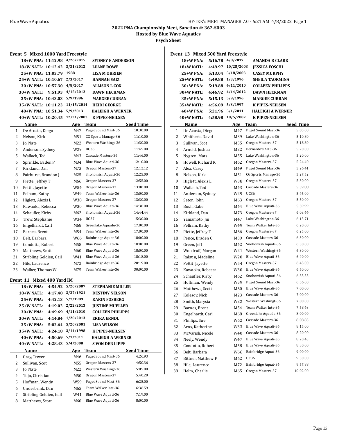**Hosted by Blue Wave Aquatics**

**Psych Sheet**

| Event 5 Mixed 1000 Yard Freestyle       |                                                             |         |                              |                                   |                  |  |
|-----------------------------------------|-------------------------------------------------------------|---------|------------------------------|-----------------------------------|------------------|--|
|                                         | 4/26/2015<br>18+W PNA: 11:12.98<br><b>SYDNEY E ANDERSON</b> |         |                              |                                   |                  |  |
|                                         | 18+W NATL: 10:12.42                                         |         | 3/31/2012                    | <b>LUANE ROWE</b>                 |                  |  |
|                                         | 25+W PNA: 11:03.79                                          |         | 1988<br><b>LISA M OBRIEN</b> |                                   |                  |  |
|                                         | 25+W NATL: 10:10.67                                         |         | 2/3/2017                     | HANNAH SAIZ                       |                  |  |
|                                         | 30+W PNA: 10:57.30                                          |         | 4/8/2017                     | <b>ALLISON L COX</b>              |                  |  |
|                                         | 30+W NATL:                                                  | 9:51.93 |                              | 4/15/2012<br><b>DAWN HECKMAN</b>  |                  |  |
|                                         | 35+W PNA: 10:43.03                                          |         | 5/9/1996                     | <b>MARGEE CURRAN</b>              |                  |  |
|                                         | 35+W NATL: 10:11.23                                         |         |                              | 11/15/2014<br><b>HEIDI GEORGE</b> |                  |  |
|                                         | 40+W PNA: 10:51.34                                          |         | 5/9/2013                     | <b>HALEIGH A WERNER</b>           |                  |  |
|                                         | 40+W NATL: 10:20.45                                         |         | 12/21/2003                   | <b>K PIPES-NEILSEN</b>            |                  |  |
|                                         | Name                                                        |         | Age Team                     |                                   | <b>Seed Time</b> |  |
| 1                                       | De Acosta, Diego                                            |         | M47                          | Puget Sound Mast-36               | 10:30.00         |  |
| 2                                       | Nelson, Kirk                                                |         | M51                          | CG Sports Manage-36               | 11:10.00         |  |
| 3                                       | Jo, Nate                                                    |         | M22                          | Western Washingt-36               | 11:30.00         |  |
| 4                                       | Anderson, Sydney                                            |         | W29                          | UC36                              | 11:45.00         |  |
| 5                                       | Wallach, Ted                                                |         | M43                          | Cascade Masters-36                | 11:46.00         |  |
| 6                                       | Sprinkle, Baden P                                           |         | M34                          | Blue Wave Aquati-36               | 12:10.00         |  |
| 7                                       | Kirkland, Dan                                               |         | M73                          | Oregon Masters-37                 | 12:12.12         |  |
| 8                                       | Fairhurst, Brandon J                                        |         | M25                          | Snohomish Aquati-36               | 12:25.00         |  |
| 9                                       | Piette, Jeffrey T                                           |         | M66                          | Oregon Masters-37                 | 12:55.00         |  |
| 10                                      | Pettit, Jayette                                             |         | W54                          | Oregon Masters-37                 | 13:00.00         |  |
| 11                                      | Pelham, Kathy                                               |         | W49                          | Team Walker Inte-36               | 13:00.00         |  |
| 12                                      | Higlett, Alexis L                                           |         | Oregon Masters-37<br>W38     |                                   | 13:30.00         |  |
| 13                                      | Kawaoka, Rebecca                                            |         | Blue Wave Aquati-36<br>W30   |                                   | 14:30.00         |  |
| 14                                      | Schaufler, Kirby                                            |         | Snohomish Aquati-36<br>M62   |                                   | 14:44:44         |  |
| 15                                      | Trow, Stephanie                                             |         | UC37<br>W34                  |                                   | 15:30.00         |  |
| 16                                      | Engelhardt, Carl                                            |         | M68                          | Greenlake Aquadu-36               | 17:00.00         |  |
| 17                                      | Barnes, Brent                                               |         | Team Walker Inte-36<br>M54   |                                   | 17:00.00         |  |
| 18                                      | Belt, Barbara                                               |         | Bainbridge Aquat-36<br>W66   |                                   | 18:00.00         |  |
| 19                                      | Condotta, Robert                                            |         | Blue Wave Aquati-36<br>M58   |                                   | 18:00.00         |  |
| 20                                      | Matthews, Scott                                             |         | Blue Wave Aquati-36<br>M60   |                                   | 18:00.00         |  |
| 21                                      | Stribling Geldien, Gail                                     |         | W41                          | Blue Wave Aquati-36               | 18:18.00         |  |
| 22                                      | Hile, Laurence                                              |         | M72                          | Bainbridge Aquat-36               | 20:19.00         |  |
| 23                                      | Walker, Thomas W                                            |         | M75                          | Team Walker Inte-36               | 30:00.00         |  |
| Event 11 Mixed 400 Yard IM              |                                                             |         |                              |                                   |                  |  |
|                                         | 18+W PNA:                                                   | 4:54.92 | 5/20/2007                    | <b>STEPHANIE MILLER</b>           |                  |  |
|                                         | 18+W NATL:                                                  | 4:17.48 | 3/27/1921                    | <b>DESTINY NELSON</b>             |                  |  |
|                                         | 25+W PNA:                                                   | 4:42.13 | 5/7/1989                     | <b>KARIN FOSBERG</b>              |                  |  |
|                                         | 25+W NATL:                                                  | 4:19.02 | 2/22/2013                    | <b>JUSTINE MUELLER</b>            |                  |  |
|                                         | 30+W PNA:                                                   | 4:49.69 | 4/11/2010                    | <b>COLLEEN PHILIPPS</b>           |                  |  |
|                                         | 30+W NATL:                                                  | 4:14.84 | 1/20/2013                    | <b>ERIKA ERNDL</b>                |                  |  |
|                                         | 35+W PNA:                                                   | 5:02.64 | 5/20/2001                    | <b>LISA WILSON</b>                |                  |  |
|                                         | 35+W NATL:                                                  | 4:24.18 | 3/14/1998                    | <b>K PIPES-NEILSEN</b>            |                  |  |
|                                         | 40+W PNA:                                                   | 4:50.69 | 5/1/2011                     | <b>HALEIGH A WERNER</b>           |                  |  |
|                                         | 40+W NATL:                                                  | 4:28.43 | 5/4/2008                     | <b>SVON DER LIPPE</b>             |                  |  |
| Name<br><b>Seed Time</b><br>Age<br>Team |                                                             |         |                              |                                   |                  |  |
| 1<br>Gray, Trever                       |                                                             | M46     | Puget Sound Mast-36          | 4:26.93                           |                  |  |
| 2<br>Sullivan, Scot                     |                                                             | M55     | Oregon Masters-37            | 4:50.36                           |                  |  |
|                                         | 3<br>Jo, Nate                                               |         | M22                          | Western Washingt-36               | 5:05.00          |  |
|                                         | 4<br>Tujo, Christian                                        |         | M50                          | Oregon Masters-37                 | 5:40.20          |  |
|                                         | Hoffman, Wendy<br>5                                         |         | W59                          | Puget Sound Mast-36               | 6:25.00          |  |
| 6                                       | Underbrink, Dan                                             |         | M65                          | Team Walker Inte-36               | 6:36.59          |  |
| 7                                       | Stribling Geldien, Gail                                     |         | W41                          | Blue Wave Aquati-36               | 7:19.00          |  |
| 8                                       | Matthews, Scott                                             |         | M60                          | Blue Wave Aquati-36               | 8:00.00          |  |

| Event 13 Mixed 500 Yard Freestyle |                    |         |                  |                         |                  |
|-----------------------------------|--------------------|---------|------------------|-------------------------|------------------|
|                                   | 18+W PNA:          |         | 5:16.78 4/8/2017 | <b>AMANDA R CLARK</b>   |                  |
|                                   | 18+W NATL:         | 4:49.97 | 10/25/2003       | <b>JESSICA FOSCHI</b>   |                  |
|                                   | 25+W PNA:          | 5:13.04 | 5/18/2003        | <b>CASEY MURPHY</b>     |                  |
|                                   | 25+W NATL:         | 4:49.88 | 1/3/1996         | <b>SHEILA TAORMINA</b>  |                  |
|                                   | 30+W PNA:          | 5:19.88 | 4/11/2010        | <b>COLLEEN PHILIPPS</b> |                  |
|                                   | 30+W NATL:         | 4:46.92 | 4/14/2012        | <b>DAWN HECKMAN</b>     |                  |
|                                   | 35+W PNA:          | 5:15.13 | 5/9/1996         | <b>MARGEE CURRAN</b>    |                  |
|                                   | 35+W NATL:         | 4:56.09 | 5/3/1997         | <b>K PIPES-NEILSEN</b>  |                  |
|                                   | 40+W PNA:          | 5:21.96 | 5/1/2011         | <b>HALEIGH A WERNER</b> |                  |
|                                   | $40+W$ NATL:       | 4:58.98 | 10/5/2002        | <b>K PIPES-NEILSEN</b>  |                  |
|                                   | Name               |         | Age Team         |                         | <b>Seed Time</b> |
| 1                                 | De Acosta, Diego   |         | M47              | Puget Sound Mast-36     | 5:05.00          |
| 2                                 | Whitbeck, David    |         | M39              | Lake Washington-36      | 5:10.80          |
| 3                                 | Sullivan, Scot     |         | M55              | Oregon Masters-37       | 5:18.80          |
| 4                                 | Arnold, Joshua     |         | M22              | Bernardo's All S-36     | 5:20.00          |
| 5                                 | Nygren, Mats       |         | M55              | Lake Washington-36      | 5:20.00          |
| 6                                 | Howell, Richard K  |         | M62              | Oregon Masters-37       | 5:24.40          |
| 7                                 | Alex, Casey        |         | M49              | Puget Sound Mast-36     | 5:26.41          |
| 8                                 | Nelson, Kirk       |         | M51              | CG Sports Manage-36     | 5:27.52          |
| 9                                 | Higlett, Alexis L  |         | W38              | Oregon Masters-37       | 5:30.00          |
| 10                                | Wallach, Ted       |         | M43              | Cascade Masters-36      | 5:39.88          |
| 11                                | Anderson, Sydney   |         | W29              | <b>UC36</b>             | 5:45.00          |
| 12                                | Seton, John        |         | M63              | Oregon Masters-37       | 5:50.00          |
| 13                                | Bush, Gabe         |         | M44              | Blue Wave Aquati-36     | 5:59.99          |
| 14                                | Kirkland, Dan      |         | M73              | Oregon Masters-37       | 6:03.44          |
| 15                                | Yamamoto, Jin      |         | M47              | Lake Washington-36      | 6:13.71          |
| 16                                | Pelham, Kathy      |         | W49              | Team Walker Inte-36     | 6:20.00          |
| 17                                | Piette, Jeffrey T  |         | M66              | Oregon Masters-37       | 6:25.00          |
| 18                                | Pence, Braden C    |         | M39              | Cascade Masters-36      | 6:30.00          |
| 19                                | Green, Jeff        |         | M42              | Snohomish Aquati-36     | 6:30.00          |
| 20                                | Woodruff, Morgan   |         | W21              | Western Washingt-36     | 6:30.00          |
| 21                                | Ralstin, Madeline  |         | W20              | Blue Wave Aquati-36     | 6:40.00          |
| 22                                | Pettit, Jayette    |         | W54              | Oregon Masters-37       | 6:45.00          |
| 23                                | Kawaoka, Rebecca   |         | W30              | Blue Wave Aquati-36     | 6:50.00          |
| 24                                | Schaufler, Kirby   |         | M62              | Snohomish Aquati-36     | 6:55.55          |
| 25                                | Hoffman, Wendy     |         | W59              | Puget Sound Mast-36     | 6:56.00          |
| 26                                | Matthews, Scott    |         | M60              | Blue Wave Aquati-36     | 7:00.00          |
| 27                                | Kolesov, Nick      |         | M23              | Cascade Masters-36      | 7:00.00          |
| 28                                | Smith, Marysia     |         | W22              | Western Washingt-36     | 7:00.00          |
| 29                                | Barnes, Brent      |         | M54              | Team Walker Inte-36     | 7:58.43          |
| 30                                | Engelhardt, Carl   |         | M68              | Greenlake Aquadu-36     | 8:00.00          |
| 31                                | Phillips, Sue      |         | W62              | Cascade Masters-36      | 8:08.85          |
| 32                                | Arns, Katherine    |         | W33              | Blue Wave Aquati-36     | 8:15.00          |
| 33                                | McVarish, Nicole   |         | W40              | Cascade Masters-36      | 8:20.00          |
| 34                                | Neely, Wendy       |         | W47              | Blue Wave Aquati-36     | 8:20.43          |
| 35                                | Condotta, Robert   |         | M58              | Blue Wave Aquati-36     | 8:30.00          |
| 36                                | Belt, Barbara      |         | W66              | Bainbridge Aquat-36     | 9:00.00          |
| 37                                | Bittner, Matthew F |         | M62              | UC36                    | 9:30.00          |
| 38                                | Hile, Laurence     |         | M72              | Bainbridge Aquat-36     | 9:57.88          |
| 39                                | Helm, Charlie      |         | M65              | Oregon Masters-37       | 10:02.00         |
|                                   |                    |         |                  |                         |                  |